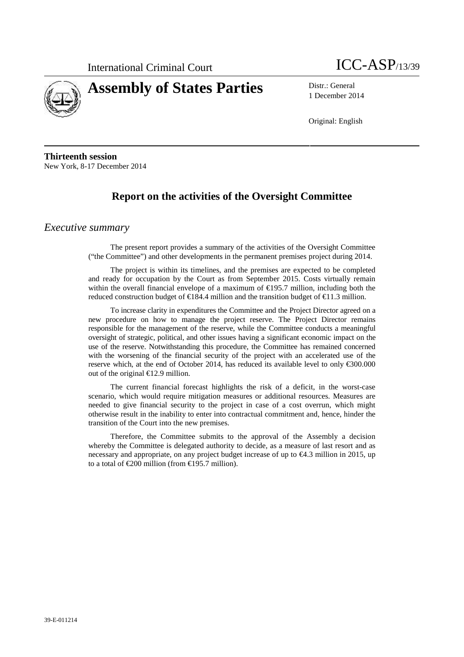



1 December 2014

Original: English

**Thirteenth session** New York, 8-17 December 2014

## **Report on the activities of the Oversight Committee**

### *Executive summary*

The present report provides a summary of the activities of the Oversight Committee ("the Committee") and other developments in the permanent premises project during 2014.

The project is within its timelines, and the premises are expected to be completed and ready for occupation by the Court as from September 2015. Costs virtually remain within the overall financial envelope of a maximum of  $\bigoplus$  95.7 million, including both the reduced construction budget of €184.4 million and the transition budget of €11.3 million.

To increase clarity in expenditures the Committee and the Project Director agreed on a new procedure on how to manage the project reserve. The Project Director remains responsible for the management of the reserve, while the Committee conducts a meaningful oversight of strategic, political, and other issues having a significant economic impact on the use of the reserve. Notwithstanding this procedure, the Committee has remained concerned with the worsening of the financial security of the project with an accelerated use of the reserve which, at the end of October 2014, has reduced its available level to only €300.000 out of the original €12.9 million.

The current financial forecast highlights the risk of a deficit, in the worst-case scenario, which would require mitigation measures or additional resources. Measures are needed to give financial security to the project in case of a cost overrun, which might otherwise result in the inability to enter into contractual commitment and, hence, hinder the transition of the Court into the new premises.

Therefore, the Committee submits to the approval of the Assembly a decision whereby the Committee is delegated authority to decide, as a measure of last resort and as necessary and appropriate, on any project budget increase of up to  $\Theta$ 4.3 million in 2015, up to a total of  $\epsilon 200$  million (from  $\epsilon 195.7$  million).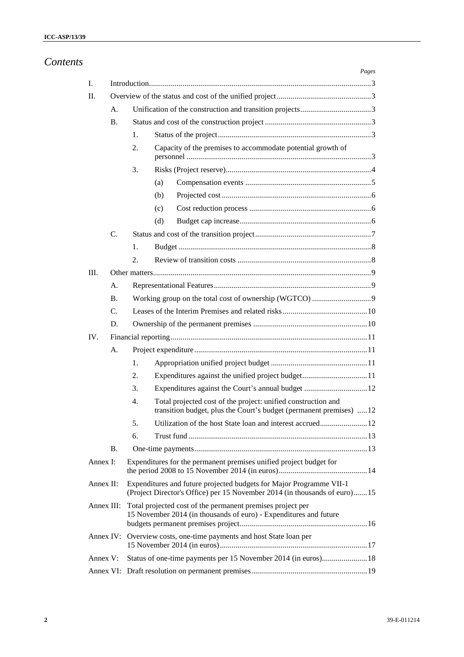| Contents |            |           |                                                                                                                                                  |                                                            |                                                                                                                                     | Pages |  |  |  |
|----------|------------|-----------|--------------------------------------------------------------------------------------------------------------------------------------------------|------------------------------------------------------------|-------------------------------------------------------------------------------------------------------------------------------------|-------|--|--|--|
|          | Ι.         |           |                                                                                                                                                  |                                                            |                                                                                                                                     |       |  |  |  |
|          | II.        |           |                                                                                                                                                  |                                                            |                                                                                                                                     |       |  |  |  |
|          |            | А.        |                                                                                                                                                  |                                                            |                                                                                                                                     |       |  |  |  |
|          |            | <b>B.</b> |                                                                                                                                                  |                                                            |                                                                                                                                     |       |  |  |  |
|          |            |           | 1.                                                                                                                                               |                                                            |                                                                                                                                     |       |  |  |  |
|          |            |           | 2.                                                                                                                                               |                                                            | Capacity of the premises to accommodate potential growth of                                                                         |       |  |  |  |
|          |            |           | 3.                                                                                                                                               |                                                            |                                                                                                                                     |       |  |  |  |
|          |            |           |                                                                                                                                                  | (a)                                                        |                                                                                                                                     |       |  |  |  |
|          |            |           |                                                                                                                                                  | (b)                                                        |                                                                                                                                     |       |  |  |  |
|          |            |           |                                                                                                                                                  | (c)                                                        |                                                                                                                                     |       |  |  |  |
|          |            |           |                                                                                                                                                  | (d)                                                        |                                                                                                                                     |       |  |  |  |
|          |            | C.        |                                                                                                                                                  |                                                            |                                                                                                                                     |       |  |  |  |
|          |            |           | 1.                                                                                                                                               |                                                            |                                                                                                                                     |       |  |  |  |
|          |            |           | 2.                                                                                                                                               |                                                            |                                                                                                                                     |       |  |  |  |
|          | III.       |           |                                                                                                                                                  |                                                            |                                                                                                                                     |       |  |  |  |
|          |            | А.        |                                                                                                                                                  |                                                            |                                                                                                                                     |       |  |  |  |
|          |            | <b>B.</b> |                                                                                                                                                  |                                                            |                                                                                                                                     |       |  |  |  |
|          |            | C.        |                                                                                                                                                  |                                                            |                                                                                                                                     |       |  |  |  |
|          |            | D.        |                                                                                                                                                  |                                                            |                                                                                                                                     |       |  |  |  |
|          | IV.        |           |                                                                                                                                                  |                                                            |                                                                                                                                     |       |  |  |  |
|          |            | А.        |                                                                                                                                                  |                                                            |                                                                                                                                     |       |  |  |  |
|          |            |           | 1.                                                                                                                                               |                                                            |                                                                                                                                     |       |  |  |  |
|          |            |           | 2.                                                                                                                                               |                                                            | Expenditures against the unified project budget11                                                                                   |       |  |  |  |
|          |            |           | 3.                                                                                                                                               |                                                            | Expenditures against the Court's annual budget  12                                                                                  |       |  |  |  |
|          |            |           | 4.                                                                                                                                               |                                                            | Total projected cost of the project: unified construction and<br>transition budget, plus the Court's budget (permanent premises) 12 |       |  |  |  |
|          |            |           | 5.                                                                                                                                               |                                                            |                                                                                                                                     |       |  |  |  |
|          |            |           | 6.                                                                                                                                               |                                                            |                                                                                                                                     |       |  |  |  |
|          |            | <b>B.</b> |                                                                                                                                                  |                                                            |                                                                                                                                     |       |  |  |  |
|          | Annex I:   |           | Expenditures for the permanent premises unified project budget for                                                                               |                                                            |                                                                                                                                     |       |  |  |  |
|          | Annex II:  |           | Expenditures and future projected budgets for Major Programme VII-1<br>(Project Director's Office) per 15 November 2014 (in thousands of euro)15 |                                                            |                                                                                                                                     |       |  |  |  |
|          | Annex III: |           |                                                                                                                                                  | Total projected cost of the permanent premises project per | 15 November 2014 (in thousands of euro) - Expenditures and future                                                                   |       |  |  |  |
|          |            |           |                                                                                                                                                  |                                                            | Annex IV: Overview costs, one-time payments and host State loan per                                                                 |       |  |  |  |
|          | Annex V:   |           |                                                                                                                                                  |                                                            |                                                                                                                                     |       |  |  |  |
|          |            |           |                                                                                                                                                  |                                                            |                                                                                                                                     |       |  |  |  |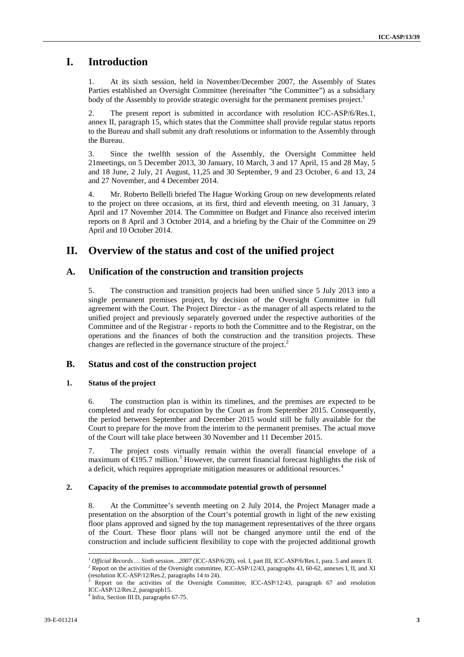### **I. Introduction**

At its sixth session, held in November/December 2007, the Assembly of States Parties established an Oversight Committee (hereinafter "the Committee") as a subsidiary body of the Assembly to provide strategic oversight for the permanent premises project.<sup>1</sup>

2. The present report is submitted in accordance with resolution ICC-ASP/6/Res.1, annex II, paragraph 15, which states that the Committee shall provide regular status reports to the Bureau and shall submit any draft resolutions or information to the Assembly through the Bureau.

3. Since the twelfth session of the Assembly, the Oversight Committee held 21meetings, on 5 December 2013, 30 January, 10 March, 3 and 17 April, 15 and 28 May, 5 and 18 June, 2 July, 21 August, 11,25 and 30 September, 9 and 23 October, 6 and 13, 24 and 27 November, and 4 December 2014.

4. Mr. Roberto Bellelli briefed The Hague Working Group on new developments related to the project on three occasions, at its first, third and eleventh meeting, on 31 January, 3 April and 17 November 2014. The Committee on Budget and Finance also received interim reports on 8 April and 3 October 2014, and a briefing by the Chair of the Committee on 29 April and 10 October 2014.

### **II. Overview of the status and cost of the unified project**

### **A. Unification of the construction and transition projects**

5. The construction and transition projects had been unified since 5 July 2013 into a single permanent premises project, by decision of the Oversight Committee in full agreement with the Court. The Project Director - as the manager of all aspects related to the unified project and previously separately governed under the respective authorities of the Committee and of the Registrar - reports to both the Committee and to the Registrar, on the operations and the finances of both the construction and the transition projects. These changes are reflected in the governance structure of the project.<sup>2</sup>

### **B. Status and cost of the construction project**

#### **1. Status of the project**

6. The construction plan is within its timelines, and the premises are expected to be completed and ready for occupation by the Court as from September 2015. Consequently, the period between September and December 2015 would still be fully available for the Court to prepare for the move from the interim to the permanent premises. The actual move of the Court will take place between 30 November and 11 December 2015.

7. The project costs virtually remain within the overall financial envelope of a maximum of  $\in$ 195.7 million.<sup>3</sup> However, the current financial forecast highlights the risk of a deficit, which requires appropriate mitigation measures or additional resources.<sup>4</sup>

#### **2. Capacity of the premises to accommodate potential growth of personnel**

8. At the Committee's seventh meeting on 2 July 2014, the Project Manager made a presentation on the absorption of the Court's potential growth in light of the new existing floor plans approved and signed by the top management representatives of the three organs of the Court. These floor plans will not be changed anymore until the end of the construction and include sufficient flexibility to cope with the projected additional growth

<sup>&</sup>lt;sup>1</sup> *Official Records* ... *Sixth session*...2007 (ICC-ASP/6/20), vol. I, part III, ICC-ASP/6/Res.1, para. 5 and annex II. <sup>2</sup> Report on the activities of the Oversight committee, ICC-ASP/12/43, paragraphs 43, 60-62, anne

Report on the activities of the Oversight Committee, ICC-ASP/12/43, paragraph 67 and resolution ICC-ASP/12/Res.2, paragraph15.

<sup>4</sup> Infra, Section III D, paragraphs 67-75.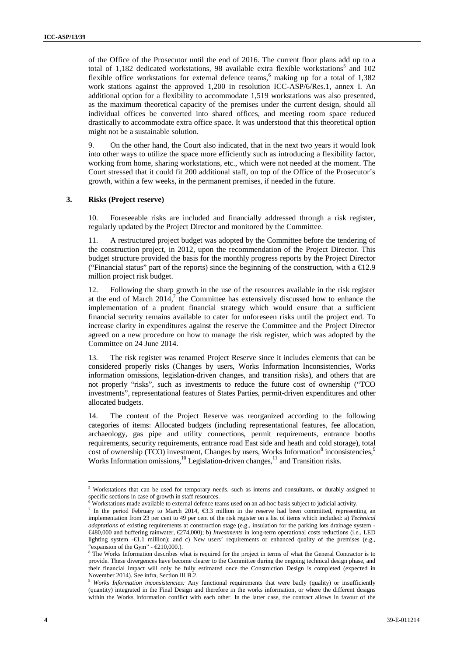of the Office of the Prosecutor until the end of 2016. The current floor plans add up to a total of 1,182 dedicated workstations, 98 available extra flexible workstations<sup>5</sup> and 102 flexible office workstations for external defence teams,<sup>6</sup> making up for a total of  $1,382$ work stations against the approved 1,200 in resolution ICC-ASP/6/Res.1, annex I. An additional option for a flexibility to accommodate 1,519 workstations was also presented, as the maximum theoretical capacity of the premises under the current design, should all individual offices be converted into shared offices, and meeting room space reduced drastically to accommodate extra office space. It was understood that this theoretical option might not be a sustainable solution.

9. On the other hand, the Court also indicated, that in the next two years it would look into other ways to utilize the space more efficiently such as introducing a flexibility factor, working from home, sharing workstations, etc., which were not needed at the moment. The Court stressed that it could fit 200 additional staff, on top of the Office of the Prosecutor's growth, within a few weeks, in the permanent premises, if needed in the future.

#### **3. Risks (Project reserve)**

10. Foreseeable risks are included and financially addressed through a risk register, regularly updated by the Project Director and monitored by the Committee.

11. A restructured project budget was adopted by the Committee before the tendering of the construction project, in 2012, upon the recommendation of the Project Director. This budget structure provided the basis for the monthly progress reports by the Project Director ("Financial status" part of the reports) since the beginning of the construction, with a  $E$ 12.9 million project risk budget.

12. Following the sharp growth in the use of the resources available in the risk register at the end of March  $2014$ , the Committee has extensively discussed how to enhance the implementation of a prudent financial strategy which would ensure that a sufficient financial security remains available to cater for unforeseen risks until the project end. To increase clarity in expenditures against the reserve the Committee and the Project Director agreed on a new procedure on how to manage the risk register, which was adopted by the Committee on 24 June 2014.

13. The risk register was renamed Project Reserve since it includes elements that can be considered properly risks (Changes by users, Works Information Inconsistencies, Works information omissions, legislation-driven changes, and transition risks), and others that are not properly "risks", such as investments to reduce the future cost of ownership ("TCO investments", representational features of States Parties, permit-driven expenditures and other allocated budgets.

14. The content of the Project Reserve was reorganized according to the following categories of items: Allocated budgets (including representational features, fee allocation, archaeology, gas pipe and utility connections, permit requirements, entrance booths requirements, security requirements, entrance road East side and heath and cold storage), total  $\cot$  of ownership (TCO) investment, Changes by users, Works Information<sup>8</sup> inconsistencies,<sup>9</sup> Works Information omissions, $10$  Legislation-driven changes, $11$  and Transition risks.

<sup>&</sup>lt;sup>5</sup> Workstations that can be used for temporary needs, such as interns and consultants, or durably assigned to specific sections in case of growth in staff resources.

Workstations made available to external defence teams used on an ad-hoc basis subject to judicial activity.

<sup>7</sup> In the period February to March 2014, €3.3 million in the reserve had been committed, representing an implementation from 23 per cent to 49 per cent of the risk register on a list of items which included: a) *Technical adaptations* of existing requirements at construction stage (e.g., insulation for the parking lots drainage system - €480,000 and buffering rainwater, €274,000); b) *Investments* in long-term operational costs reductions (i.e., LED lighting system -€1.1 million); and c) New users' requirements or enhanced quality of the premises (e.g.,

<sup>&</sup>quot;expansion of the Gym" -  $\epsilon$ 210,000.).<br><sup>8</sup> The Works Information describes what is required for the project in terms of what the General Contractor is to provide. These divergences have become clearer to the Committee during the ongoing technical design phase, and their financial impact will only be fully estimated once the Construction Design is completed (expected in November 2014). See infra, Section III B.2.

Works Information inconsistencies: Any functional requirements that were badly (quality) or insufficiently (quantity) integrated in the Final Design and therefore in the works information, or where the different designs within the Works Information conflict with each other. In the latter case, the contract allows in favour of the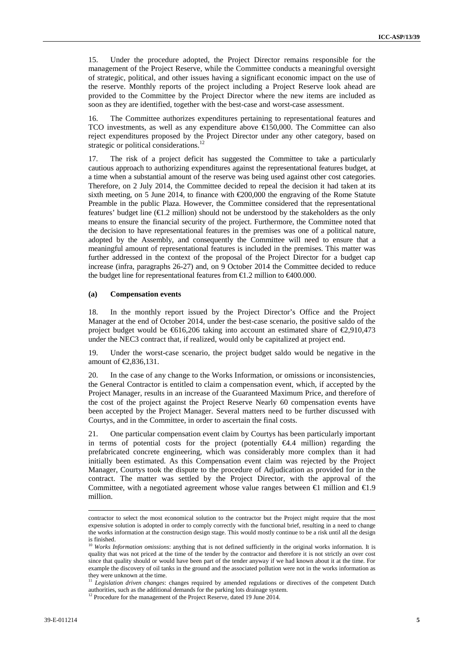15. Under the procedure adopted, the Project Director remains responsible for the management of the Project Reserve, while the Committee conducts a meaningful oversight of strategic, political, and other issues having a significant economic impact on the use of the reserve. Monthly reports of the project including a Project Reserve look ahead are provided to the Committee by the Project Director where the new items are included as soon as they are identified, together with the best-case and worst-case assessment.

16. The Committee authorizes expenditures pertaining to representational features and TCO investments, as well as any expenditure above  $\bigoplus$  50,000. The Committee can also reject expenditures proposed by the Project Director under any other category, based on strategic or political considerations.<sup>12</sup>

17. The risk of a project deficit has suggested the Committee to take a particularly cautious approach to authorizing expenditures against the representational features budget, at a time when a substantial amount of the reserve was being used against other cost categories. Therefore, on 2 July 2014, the Committee decided to repeal the decision it had taken at its sixth meeting, on 5 June 2014, to finance with  $\epsilon$ 200,000 the engraving of the Rome Statute Preamble in the public Plaza. However, the Committee considered that the representational features' budget line  $(\triangleleft 1.2$  million) should not be understood by the stakeholders as the only means to ensure the financial security of the project. Furthermore, the Committee noted that the decision to have representational features in the premises was one of a political nature, adopted by the Assembly, and consequently the Committee will need to ensure that a meaningful amount of representational features is included in the premises. This matter was further addressed in the context of the proposal of the Project Director for a budget cap increase (infra, paragraphs 26-27) and, on 9 October 2014 the Committee decided to reduce the budget line for representational features from  $\epsilon 1.2$  million to  $\epsilon 400.000$ .

#### **(a) Compensation events**

18. In the monthly report issued by the Project Director's Office and the Project Manager at the end of October 2014, under the best-case scenario, the positive saldo of the project budget would be  $\text{\textsterling}616,206$  taking into account an estimated share of  $\text{\textsterling}2,910,473$ under the NEC3 contract that, if realized, would only be capitalized at project end.

19. Under the worst-case scenario, the project budget saldo would be negative in the amount of €2,836,131.

20. In the case of any change to the Works Information, or omissions or inconsistencies, the General Contractor is entitled to claim a compensation event, which, if accepted by the Project Manager, results in an increase of the Guaranteed Maximum Price, and therefore of the cost of the project against the Project Reserve Nearly 60 compensation events have been accepted by the Project Manager. Several matters need to be further discussed with Courtys, and in the Committee, in order to ascertain the final costs.

21. One particular compensation event claim by Courtys has been particularly important in terms of potential costs for the project (potentially  $\epsilon 4.4$  million) regarding the prefabricated concrete engineering, which was considerably more complex than it had initially been estimated. As this Compensation event claim was rejected by the Project Manager, Courtys took the dispute to the procedure of Adjudication as provided for in the contract. The matter was settled by the Project Director, with the approval of the Committee, with a negotiated agreement whose value ranges between  $\in$  million and  $\in$ 1.9 million.

contractor to select the most economical solution to the contractor but the Project might require that the most expensive solution is adopted in order to comply correctly with the functional brief, resulting in a need to change the works information at the construction design stage. This would mostly continue to be a risk until all the design is finished.

<sup>&</sup>lt;sup>10</sup> *Works Information omissions*: anything that is not defined sufficiently in the original works information. It is quality that was not priced at the time of the tender by the contractor and therefore it is not strictly an over cost since that quality should or would have been part of the tender anyway if we had known about it at the time. For example the discovery of oil tanks in the ground and the associated pollution were not in the works information as

Legislation driven changes: changes required by amended regulations or directives of the competent Dutch authorities, such as the additional demands for the parking lots drainage system.

<sup>&</sup>lt;sup>12</sup> Procedure for the management of the Project Reserve, dated 19 June 2014.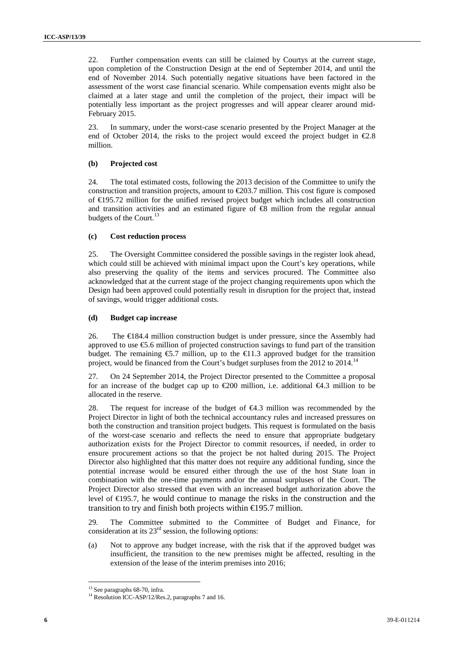22. Further compensation events can still be claimed by Courtys at the current stage, upon completion of the Construction Design at the end of September 2014, and until the end of November 2014. Such potentially negative situations have been factored in the assessment of the worst case financial scenario. While compensation events might also be claimed at a later stage and until the completion of the project, their impact will be potentially less important as the project progresses and will appear clearer around mid- February 2015.

23. In summary, under the worst-case scenario presented by the Project Manager at the end of October 2014, the risks to the project would exceed the project budget in  $\epsilon 2.8$ million.

#### **(b) Projected cost**

24. The total estimated costs, following the 2013 decision of the Committee to unify the construction and transition projects, amount to €203.7 million. This cost figure is composed of €195.72 million for the unified revised project budget which includes all construction and transition activities and an estimated figure of  $\bigoplus$  million from the regular annual budgets of the Court.<sup>13</sup>

#### **(c) Cost reduction process**

25. The Oversight Committee considered the possible savings in the register look ahead, which could still be achieved with minimal impact upon the Court's key operations, while also preserving the quality of the items and services procured. The Committee also acknowledged that at the current stage of the project changing requirements upon which the Design had been approved could potentially result in disruption for the project that, instead of savings, would trigger additional costs.

#### **(d) Budget cap increase**

26. The €184.4 million construction budget is under pressure, since the Assembly had approved to use €5.6 million of projected construction savings to fund part of the transition budget. The remaining  $\epsilon$ 5.7 million, up to the  $\epsilon$ 1.3 approved budget for the transition project, would be financed from the Court's budget surpluses from the 2012 to 2014.<sup>14</sup>

27. On 24 September 2014, the Project Director presented to the Committee a proposal for an increase of the budget cap up to  $\epsilon$ 200 million, i.e. additional  $\epsilon$ 4.3 million to be allocated in the reserve.

28. The request for increase of the budget of  $\epsilon 4.3$  million was recommended by the Project Director in light of both the technical accountancy rules and increased pressures on both the construction and transition project budgets. This request is formulated on the basis of the worst-case scenario and reflects the need to ensure that appropriate budgetary authorization exists for the Project Director to commit resources, if needed, in order to ensure procurement actions so that the project be not halted during 2015. The Project Director also highlighted that this matter does not require any additional funding, since the potential increase would be ensured either through the use of the host State loan in combination with the one-time payments and/or the annual surpluses of the Court. The Project Director also stressed that even with an increased budget authorization above the level of €195.7, he would continue to manage the risks in the construction and the transition to try and finish both projects within  $\in$  95.7 million.

29. The Committee submitted to the Committee of Budget and Finance, for consideration at its  $23<sup>rd</sup>$  session, the following options:

(a) Not to approve any budget increase, with the risk that if the approved budget was insufficient, the transition to the new premises might be affected, resulting in the extension of the lease of the interim premises into 2016;

<sup>&</sup>lt;sup>13</sup> See paragraphs 68-70, infra.

<sup>&</sup>lt;sup>14</sup> Resolution ICC-ASP/12/Res.2, paragraphs 7 and 16.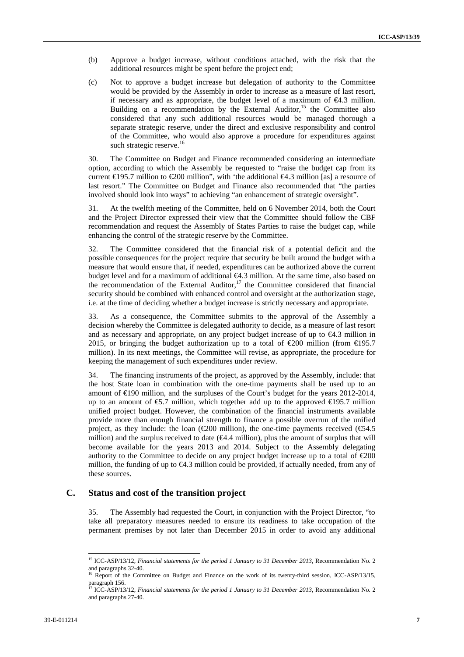- (b) Approve a budget increase, without conditions attached, with the risk that the additional resources might be spent before the project end;
- (c) Not to approve a budget increase but delegation of authority to the Committee would be provided by the Assembly in order to increase as a measure of last resort, if necessary and as appropriate, the budget level of a maximum of  $\epsilon 4.3$  million. Building on a recommendation by the External Auditor,<sup>15</sup> the Committee also considered that any such additional resources would be managed thorough a separate strategic reserve, under the direct and exclusive responsibility and control of the Committee, who would also approve a procedure for expenditures against such strategic reserve.<sup>16</sup>

30. The Committee on Budget and Finance recommended considering an intermediate option, according to which the Assembly be requested to "raise the budget cap from its current  $\bigoplus$ 95.7 million to  $\bigoplus$ 00 million", with 'the additional  $\bigoplus$ 4.3 million [as] a resource of last resort." The Committee on Budget and Finance also recommended that "the parties involved should look into ways" to achieving "an enhancement of strategic oversight".

31. At the twelfth meeting of the Committee, held on 6 November 2014, both the Court and the Project Director expressed their view that the Committee should follow the CBF recommendation and request the Assembly of States Parties to raise the budget cap, while enhancing the control of the strategic reserve by the Committee.

32. The Committee considered that the financial risk of a potential deficit and the possible consequences for the project require that security be built around the budget with a measure that would ensure that, if needed, expenditures can be authorized above the current budget level and for a maximum of additional  $\bigoplus$ . 3 million. At the same time, also based on the recommendation of the External Auditor,<sup>17</sup> the Committee considered that financial security should be combined with enhanced control and oversight at the authorization stage, i.e. at the time of deciding whether a budget increase is strictly necessary and appropriate.

33. As a consequence, the Committee submits to the approval of the Assembly a decision whereby the Committee is delegated authority to decide, as a measure of last resort and as necessary and appropriate, on any project budget increase of up to  $\epsilon 4.3$  million in 2015, or bringing the budget authorization up to a total of  $\epsilon$ 200 million (from  $\epsilon$ 195.7 million). In its next meetings, the Committee will revise, as appropriate, the procedure for keeping the management of such expenditures under review.

34. The financing instruments of the project, as approved by the Assembly, include: that the host State loan in combination with the one-time payments shall be used up to an amount of €190 million, and the surpluses of the Court's budget for the years 2012-2014, up to an amount of  $\epsilon$ 5.7 million, which together add up to the approved  $\epsilon$ 195.7 million unified project budget. However, the combination of the financial instruments available provide more than enough financial strength to finance a possible overrun of the unified project, as they include: the loan ( $\epsilon$ 200 million), the one-time payments received ( $\epsilon$ 54.5 million) and the surplus received to date ( $\epsilon$ 4.4 million), plus the amount of surplus that will become available for the years 2013 and 2014. Subject to the Assembly delegating authority to the Committee to decide on any project budget increase up to a total of  $E$ 200 million, the funding of up to €4.3 million could be provided, if actually needed, from any of these sources.

### **C. Status and cost of the transition project**

35. The Assembly had requested the Court, in conjunction with the Project Director, "to take all preparatory measures needed to ensure its readiness to take occupation of the permanent premises by not later than December 2015 in order to avoid any additional

<sup>15</sup> ICC-ASP/13/12, *Financial statements for the period 1 January to 31 December 2013*, Recommendation No. 2 and paragraphs 32-40.

<sup>&</sup>lt;sup>16</sup> Report of the Committee on Budget and Finance on the work of its twenty-third session, ICC-ASP/13/15,  $\frac{1}{2}$  paragraph 156.

<sup>17</sup> ICC-ASP/13/12, *Financial statements for the period 1 January to 31 December 2013*, Recommendation No. 2 and paragraphs 27-40.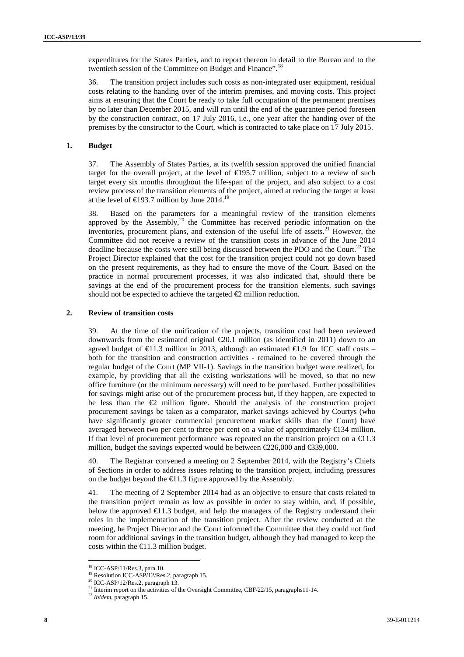expenditures for the States Parties, and to report thereon in detail to the Bureau and to the twentieth session of the Committee on Budget and Finance".<sup>18</sup>

36. The transition project includes such costs as non-integrated user equipment, residual costs relating to the handing over of the interim premises, and moving costs. This project aims at ensuring that the Court be ready to take full occupation of the permanent premises by no later than December 2015, and will run until the end of the guarantee period foreseen by the construction contract, on 17 July 2016, i.e., one year after the handing over of the premises by the constructor to the Court, which is contracted to take place on 17 July 2015.

#### **1. Budget**

37. The Assembly of States Parties, at its twelfth session approved the unified financial target for the overall project, at the level of  $\in$  95.7 million, subject to a review of such target every six months throughout the life-span of the project, and also subject to a cost review process of the transition elements of the project, aimed at reducing the target at least at the level of  $\text{E}193.7$  million by June 2014.<sup>19</sup>

38. Based on the parameters for a meaningful review of the transition elements approved by the Assembly, $20$  the Committee has received periodic information on the inventories, procurement plans, and extension of the useful life of assets.<sup>21</sup> However, the Committee did not receive a review of the transition costs in advance of the June 2014 deadline because the costs were still being discussed between the PDO and the Court.<sup>22</sup> The Project Director explained that the cost for the transition project could not go down based on the present requirements, as they had to ensure the move of the Court. Based on the practice in normal procurement processes, it was also indicated that, should there be savings at the end of the procurement process for the transition elements, such savings should not be expected to achieve the targeted  $\bigoplus$  million reduction.

#### **2. Review of transition costs**

39. At the time of the unification of the projects, transition cost had been reviewed downwards from the estimated original  $\epsilon$ 20.1 million (as identified in 2011) down to an agreed budget of  $\in$ 1.3 million in 2013, although an estimated  $\in$ 1.9 for ICC staff costs – both for the transition and construction activities - remained to be covered through the regular budget of the Court (MP VII-1). Savings in the transition budget were realized, for example, by providing that all the existing workstations will be moved, so that no new office furniture (or the minimum necessary) will need to be purchased. Further possibilities for savings might arise out of the procurement process but, if they happen, are expected to be less than the  $\bigoplus$  million figure. Should the analysis of the construction project procurement savings be taken as a comparator, market savings achieved by Courtys (who have significantly greater commercial procurement market skills than the Court) have averaged between two per cent to three per cent on a value of approximately  $\in$  34 million. If that level of procurement performance was repeated on the transition project on a  $\in$ 1.3 million, budget the savings expected would be between  $\epsilon$ 226,000 and  $\epsilon$ 339,000.

40. The Registrar convened a meeting on 2 September 2014, with the Registry's Chiefs of Sections in order to address issues relating to the transition project, including pressures on the budget beyond the  $\bigoplus$  1.3 figure approved by the Assembly.

41. The meeting of 2 September 2014 had as an objective to ensure that costs related to the transition project remain as low as possible in order to stay within, and, if possible, below the approved  $\in$ 1.3 budget, and help the managers of the Registry understand their roles in the implementation of the transition project. After the review conducted at the meeting, he Project Director and the Court informed the Committee that they could not find room for additional savings in the transition budget, although they had managed to keep the costs within the  $\in$  1.3 million budget.

<sup>18</sup> ICC-ASP/11/Res.3, para.10.

<sup>&</sup>lt;sup>19</sup> Resolution ICC-ASP/12/Res.2, paragraph 15.<br><sup>20</sup> ICC-ASP/12/Res.2, paragraph 13.

<sup>&</sup>lt;sup>21</sup> Interim report on the activities of the Oversight Committee, CBF/22/15, paragraphs11-14.

<sup>22</sup> *Ibidem*, paragraph 15.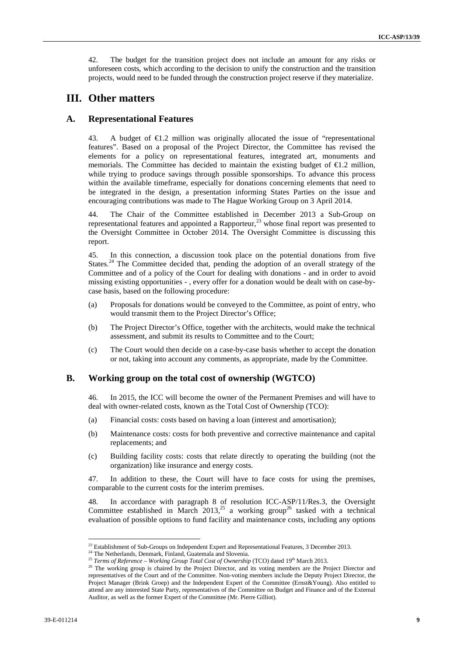42. The budget for the transition project does not include an amount for any risks or unforeseen costs, which according to the decision to unify the construction and the transition projects, would need to be funded through the construction project reserve if they materialize.

### **III. Other matters**

### **A. Representational Features**

43. A budget of  $\bigoplus$   $\mathcal{L}$  million was originally allocated the issue of "representational features". Based on a proposal of the Project Director, the Committee has revised the elements for a policy on representational features, integrated art, monuments and memorials. The Committee has decided to maintain the existing budget of €1.2 million, while trying to produce savings through possible sponsorships. To advance this process within the available timeframe, especially for donations concerning elements that need to be integrated in the design, a presentation informing States Parties on the issue and encouraging contributions was made to The Hague Working Group on 3 April 2014.

44. The Chair of the Committee established in December 2013 a Sub-Group on representational features and appointed a Rapporteur,<sup>23</sup> whose final report was presented to the Oversight Committee in October 2014. The Oversight Committee is discussing this report.

45. In this connection, a discussion took place on the potential donations from five States.<sup>24</sup> The Committee decided that, pending the adoption of an overall strategy of the Committee and of a policy of the Court for dealing with donations - and in order to avoid missing existing opportunities - , every offer for a donation would be dealt with on case-by case basis, based on the following procedure:

- (a) Proposals for donations would be conveyed to the Committee, as point of entry, who would transmit them to the Project Director's Office;
- (b) The Project Director's Office, together with the architects, would make the technical assessment, and submit its results to Committee and to the Court;
- (c) The Court would then decide on a case-by-case basis whether to accept the donation or not, taking into account any comments, as appropriate, made by the Committee.

### **B. Working group on the total cost of ownership (WGTCO)**

46. In 2015, the ICC will become the owner of the Permanent Premises and will have to deal with owner-related costs, known as the Total Cost of Ownership (TCO):

- (a) Financial costs: costs based on having a loan (interest and amortisation);
- (b) Maintenance costs: costs for both preventive and corrective maintenance and capital replacements; and
- (c) Building facility costs: costs that relate directly to operating the building (not the organization) like insurance and energy costs.

47. In addition to these, the Court will have to face costs for using the premises, comparable to the current costs for the interim premises.

48. In accordance with paragraph 8 of resolution ICC-ASP/11/Res.3, the Oversight Committee established in March 2013,<sup>25</sup> a working group<sup>26</sup> tasked with a technical evaluation of possible options to fund facility and maintenance costs, including any options

<sup>&</sup>lt;sup>23</sup> Establishment of Sub-Groups on Independent Expert and Representational Features, 3 December 2013.<br><sup>24</sup> The Netherlands, Denmark, Finland, Guatemala and Slovenia.

<sup>&</sup>lt;sup>25</sup> Terms of Reference – Working Group Total Cost of Ownership (TCO) dated 19<sup>th</sup> March 2013.<br><sup>26</sup> The working group is chaired by the Project Director, and its voting members are the Project Director and <sup>26</sup> representatives of the Court and of the Committee. Non-voting members include the Deputy Project Director, the Project Manager (Brink Groep) and the Independent Expert of the Committee (Ernst&Young). Also entitled to attend are any interested State Party, representatives of the Committee on Budget and Finance and of the External Auditor, as well as the former Expert of the Committee (Mr. Pierre Gilliot).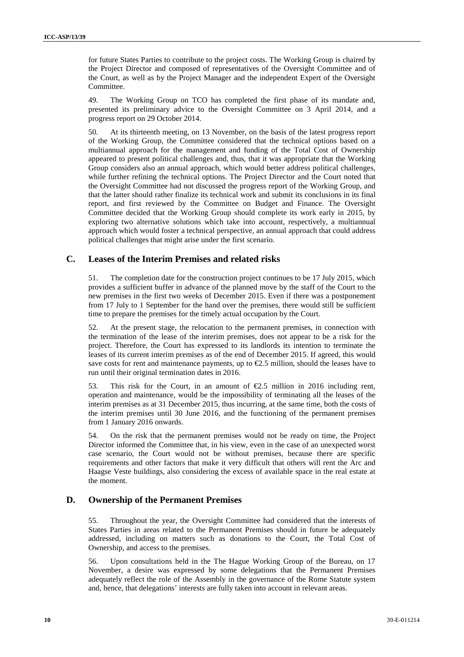for future States Parties to contribute to the project costs. The Working Group is chaired by the Project Director and composed of representatives of the Oversight Committee and of the Court, as well as by the Project Manager and the independent Expert of the Oversight Committee.

49. The Working Group on TCO has completed the first phase of its mandate and, presented its preliminary advice to the Oversight Committee on 3 April 2014, and a progress report on 29 October 2014.

50. At its thirteenth meeting, on 13 November, on the basis of the latest progress report of the Working Group, the Committee considered that the technical options based on a multiannual approach for the management and funding of the Total Cost of Ownership appeared to present political challenges and, thus, that it was appropriate that the Working Group considers also an annual approach, which would better address political challenges, while further refining the technical options. The Project Director and the Court noted that the Oversight Committee had not discussed the progress report of the Working Group, and that the latter should rather finalize its technical work and submit its conclusions in its final report, and first reviewed by the Committee on Budget and Finance. The Oversight Committee decided that the Working Group should complete its work early in 2015, by exploring two alternative solutions which take into account, respectively, a multiannual approach which would foster a technical perspective, an annual approach that could address political challenges that might arise under the first scenario.

### **C. Leases of the Interim Premises and related risks**

51. The completion date for the construction project continues to be 17 July 2015, which provides a sufficient buffer in advance of the planned move by the staff of the Court to the new premises in the first two weeks of December 2015. Even if there was a postponement from 17 July to 1 September for the hand over the premises, there would still be sufficient time to prepare the premises for the timely actual occupation by the Court.

52. At the present stage, the relocation to the permanent premises, in connection with the termination of the lease of the interim premises, does not appear to be a risk for the project. Therefore, the Court has expressed to its landlords its intention to terminate the leases of its current interim premises as of the end of December 2015. If agreed, this would save costs for rent and maintenance payments, up to  $\epsilon$ 2.5 million, should the leases have to run until their original termination dates in 2016.

53. This risk for the Court, in an amount of €2.5 million in 2016 including rent, operation and maintenance, would be the impossibility of terminating all the leases of the interim premises as at 31 December 2015, thus incurring, at the same time, both the costs of the interim premises until 30 June 2016, and the functioning of the permanent premises from 1 January 2016 onwards.

54. On the risk that the permanent premises would not be ready on time, the Project Director informed the Committee that, in his view, even in the case of an unexpected worst case scenario, the Court would not be without premises, because there are specific requirements and other factors that make it very difficult that others will rent the Arc and Haagse Veste buildings, also considering the excess of available space in the real estate at the moment.

### **D. Ownership of the Permanent Premises**

55. Throughout the year, the Oversight Committee had considered that the interests of States Parties in areas related to the Permanent Premises should in future be adequately addressed, including on matters such as donations to the Court, the Total Cost of Ownership, and access to the premises.

56. Upon consultations held in the The Hague Working Group of the Bureau, on 17 November, a desire was expressed by some delegations that the Permanent Premises adequately reflect the role of the Assembly in the governance of the Rome Statute system and, hence, that delegations' interests are fully taken into account in relevant areas.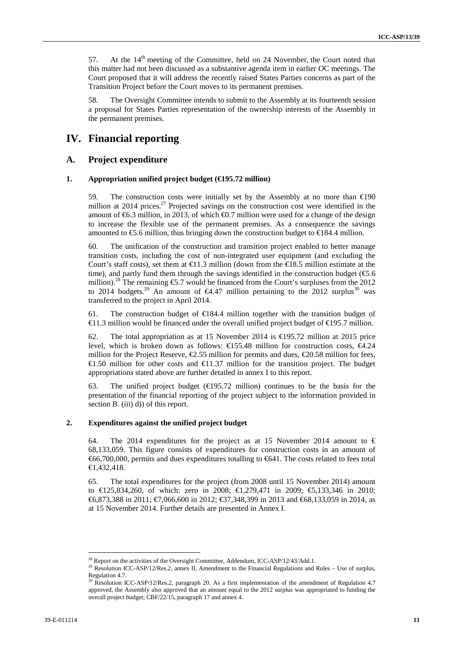57. At the  $14<sup>th</sup>$  meeting of the Committee, held on 24 November, the Court noted that this matter had not been discussed as a substantive agenda item in earlier OC meetings. The Court proposed that it will address the recently raised States Parties concerns as part of the Transition Project before the Court moves to its permanent premises.

58. The Oversight Committee intends to submit to the Assembly at its fourteenth session a proposal for States Parties representation of the ownership interests of the Assembly in the permanent premises.

### **IV. Financial reporting**

### **A. Project expenditure**

#### **1. Appropriation unified project budget (€195.72 million)**

59. The construction costs were initially set by the Assembly at no more than  $\epsilon \ge 90$ million at 2014 prices.<sup>27</sup> Projected savings on the construction cost were identified in the amount of  $\epsilon$ 6.3 million, in 2013, of which  $\epsilon$ 0.7 million were used for a change of the design to increase the flexible use of the permanent premises. As a consequence the savings amounted to  $\epsilon$ 5.6 million, thus bringing down the construction budget to  $\epsilon$ 84.4 million.

60. The unification of the construction and transition project enabled to better manage transition costs, including the cost of non-integrated user equipment (and excluding the Court's staff costs), set them at  $\bigoplus$  1.3 million (down from the  $\bigoplus$  8.5 million estimate at the time), and partly fund them through the savings identified in the construction budget ( $\epsilon$ .6.6) million).<sup>28</sup> The remaining  $\epsilon$ 5.7 would be financed from the Court's surpluses from the 2012 to 2014 budgets.<sup>29</sup> An amount of  $\epsilon 4.47$  million pertaining to the 2012 surplus<sup>30</sup> was transferred to the project in April 2014.

61. The construction budget of  $E$ 84.4 million together with the transition budget of €11.3 million would be financed under the overall unified project budget of €195.7 million.

62. The total appropriation as at 15 November 2014 is  $\bigoplus$  95.72 million at 2015 price level, which is broken down as follows:  $\text{€155.48}$  million for construction costs,  $\text{€4.24}$ million for the Project Reserve,  $\mathcal{Q}$ .55 million for permits and dues,  $\mathcal{Q}$ 0.58 million for fees,  $\in$ 1.50 million for other costs and  $\in$ 1.37 million for the transition project. The budget appropriations stated above are further detailed in annex I to this report.

63. The unified project budget ( $\bigoplus$ 95.72 million) continues to be the basis for the presentation of the financial reporting of the project subject to the information provided in section B. (iii) d)) of this report.

#### **2. Expenditures against the unified project budget**

64. The 2014 expenditures for the project as at 15 November 2014 amount to  $\epsilon$ 68,133,059. This figure consists of expenditures for construction costs in an amount of €66,700,000, permits and dues expenditures totalling to €641. The costs related to fees total €1,432,418.

65. The total expenditures for the project (from 2008 until 15 November 2014) amount to €125,834,260, of which: zero in 2008; €1,279,471 in 2009; €5,133,346 in 2010; €6,873,388 in 2011; €7,066,600 in 2012; €37,348,399 in 2013 and €68,133,059 in 2014, as at 15 November 2014. Further details are presented in Annex I.

<sup>&</sup>lt;sup>28</sup> Report on the activities of the Oversight Committee, Addendum, ICC-ASP/12/43/Add.1.

<sup>&</sup>lt;sup>29</sup> Resolution ICC-ASP/12/Res.2, annex II, Amendment to the Financial Regulations and Rules – Use of surplus, Regulation 4.7.

Resolution ICC-ASP/12/Res.2, paragraph 20. As a first implementation of the amendment of Regulation 4.7 approved, the Assembly also approved that an amount equal to the 2012 surplus was appropriated to funding the overall project budget; CBF/22/15, paragraph 17 and annex 4.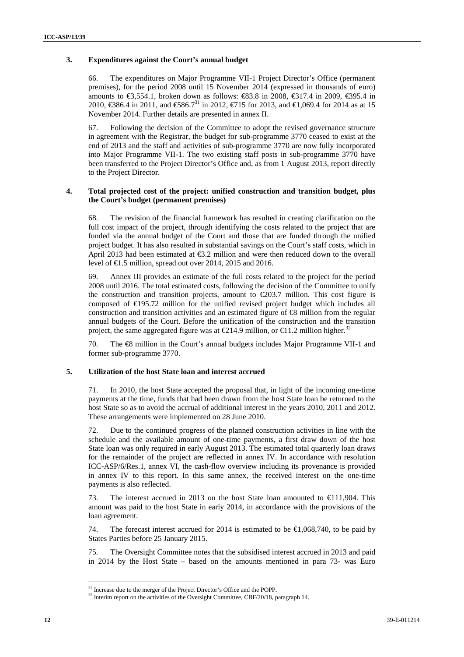### **3. Expenditures against the Court's annual budget**

66. The expenditures on Major Programme VII-1 Project Director's Office (permanent premises), for the period 2008 until 15 November 2014 (expressed in thousands of euro) amounts to €3,554.1, broken down as follows:  $\text{\textsterling}3.8$  in 2008,  $\text{\textsterling}317.4$  in 2009,  $\text{\textsterling}395.4$  in 2010, €386.4 in 2011, and €86.7<sup>31</sup> in 2012, €715 for 2013, and €1,069.4 for 2014 as at 15 November 2014. Further details are presented in annex II.

67. Following the decision of the Committee to adopt the revised governance structure in agreement with the Registrar, the budget for sub-programme 3770 ceased to exist at the end of 2013 and the staff and activities of sub-programme 3770 are now fully incorporated into Major Programme VII-1. The two existing staff posts in sub-programme 3770 have been transferred to the Project Director's Office and, as from 1 August 2013, report directly to the Project Director.

#### **4. Total projected cost of the project: unified construction and transition budget, plus the Court's budget (permanent premises)**

68. The revision of the financial framework has resulted in creating clarification on the full cost impact of the project, through identifying the costs related to the project that are funded via the annual budget of the Court and those that are funded through the unified project budget. It has also resulted in substantial savings on the Court's staff costs, which in April 2013 had been estimated at €3.2 million and were then reduced down to the overall level of €1.5 million, spread out over 2014, 2015 and 2016.

69. Annex III provides an estimate of the full costs related to the project for the period 2008 until 2016. The total estimated costs, following the decision of the Committee to unify the construction and transition projects, amount to  $\epsilon$ 203.7 million. This cost figure is composed of €195.72 million for the unified revised project budget which includes all construction and transition activities and an estimated figure of  $\otimes$  million from the regular annual budgets of the Court. Before the unification of the construction and the transition project, the same aggregated figure was at  $\bigoplus$ 14.9 million, or  $\bigoplus$ 1.2 million higher.<sup>32</sup>

70. The €8 million in the Court's annual budgets includes Major Programme VII-1 and former sub-programme 3770.

### **5. Utilization of the host State loan and interest accrued**

71. In 2010, the host State accepted the proposal that, in light of the incoming one-time payments at the time, funds that had been drawn from the host State loan be returned to the host State so as to avoid the accrual of additional interest in the years 2010, 2011 and 2012. These arrangements were implemented on 28 June 2010.

72. Due to the continued progress of the planned construction activities in line with the schedule and the available amount of one-time payments, a first draw down of the host State loan was only required in early August 2013. The estimated total quarterly loan draws for the remainder of the project are reflected in annex IV. In accordance with resolution ICC-ASP/6/Res.1, annex VI, the cash-flow overview including its provenance is provided in annex IV to this report. In this same annex, the received interest on the one-time payments is also reflected.

73. The interest accrued in 2013 on the host State loan amounted to €111,904. This amount was paid to the host State in early 2014, in accordance with the provisions of the loan agreement.

74. The forecast interest accrued for 2014 is estimated to be  $\bigoplus$ , 068,740, to be paid by States Parties before 25 January 2015.

75. The Oversight Committee notes that the subsidised interest accrued in 2013 and paid in 2014 by the Host State – based on the amounts mentioned in para 73- was Euro

<sup>&</sup>lt;sup>31</sup> Increase due to the merger of the Project Director's Office and the POPP.<br><sup>32</sup> Interim report on the activities of the Oversight Committee, CBF/20/18, paragraph 14.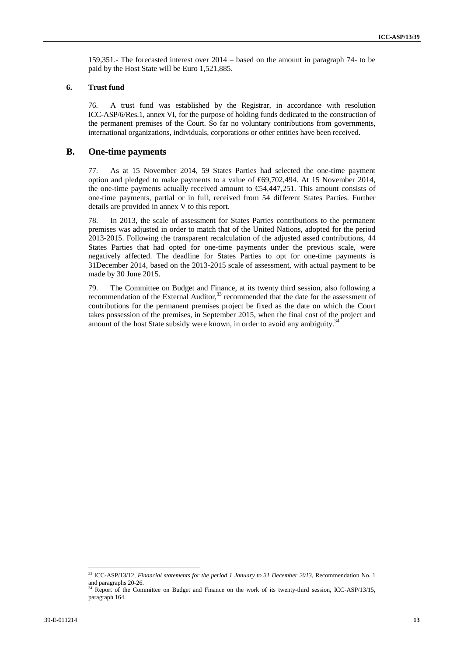159,351.- The forecasted interest over 2014 – based on the amount in paragraph 74- to be paid by the Host State will be Euro 1,521,885.

#### **6. Trust fund**

76. A trust fund was established by the Registrar, in accordance with resolution ICC-ASP/6/Res.1, annex VI, for the purpose of holding funds dedicated to the construction of the permanent premises of the Court. So far no voluntary contributions from governments, international organizations, individuals, corporations or other entities have been received.

### **B. One-time payments**

77. As at 15 November 2014, 59 States Parties had selected the one-time payment option and pledged to make payments to a value of €69,702,494. At 15 November 2014, the one-time payments actually received amount to  $\epsilon$ 4,447,251. This amount consists of one-time payments, partial or in full, received from 54 different States Parties. Further details are provided in annex V to this report.

78. In 2013, the scale of assessment for States Parties contributions to the permanent premises was adjusted in order to match that of the United Nations, adopted for the period 2013-2015. Following the transparent recalculation of the adjusted assed contributions, 44 States Parties that had opted for one-time payments under the previous scale, were negatively affected. The deadline for States Parties to opt for one-time payments is 31December 2014, based on the 2013-2015 scale of assessment, with actual payment to be made by 30 June 2015.

79. The Committee on Budget and Finance, at its twenty third session, also following a recommendation of the External Auditor, $33$  recommended that the date for the assessment of contributions for the permanent premises project be fixed as the date on which the Court takes possession of the premises, in September 2015, when the final cost of the project and amount of the host State subsidy were known, in order to avoid any ambiguity.<sup>3</sup>

<sup>&</sup>lt;sup>33</sup> ICC-ASP/13/12, *Financial statements for the period 1 January to 31 December 2013*, Recommendation No. 1 and paragraphs 20-26.<br> $\frac{34}{P}$  Pos

<sup>34</sup> Report of the Committee on Budget and Finance on the work of its twenty-third session, ICC-ASP/13/15, paragraph 164.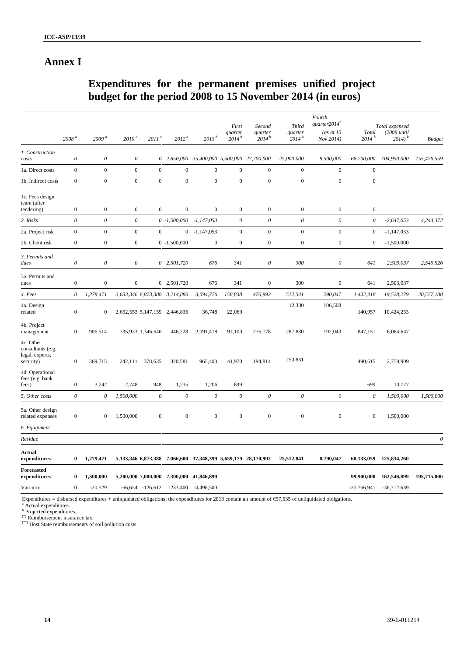### **Annex I**

# **Expenditures for the permanent premises unified project budget for the period 2008 to 15 November 2014 (in euros)**

|                                                                |                           |                           |                           |                      |                               |                                                                           | First                 | Second                | <b>Third</b>                 | Fourth<br>quarter $2014^b$ |                            | Total expensed                  |                           |
|----------------------------------------------------------------|---------------------------|---------------------------|---------------------------|----------------------|-------------------------------|---------------------------------------------------------------------------|-----------------------|-----------------------|------------------------------|----------------------------|----------------------------|---------------------------------|---------------------------|
|                                                                | 2008 <sup>a</sup>         | 2009 <sup>a</sup>         | 2010 <sup>a</sup>         | 2011 <sup>a</sup>    | 2012 <sup>a</sup>             | 2013 <sup>b</sup>                                                         | quarter<br>$2014^{b}$ | quarter<br>$2014^{b}$ | quarter<br>2014 <sup>b</sup> | (as at $15$<br>Nov 2014)   | Total<br>2014 <sup>b</sup> | $(2008 \tuntil)$<br>$2014)^{b}$ | <b>Budget</b>             |
| 1. Construction<br>costs                                       | $\boldsymbol{\mathit{0}}$ | $\boldsymbol{\mathit{0}}$ | $\boldsymbol{\theta}$     |                      |                               | 0 2,850,000 35,400,000 5,500,000 27,700,000                               |                       |                       | 25,000,000                   | 8,500,000                  | 66,700,000                 | 104,950,000                     | 155,476,559               |
| 1a. Direct costs                                               | $\boldsymbol{0}$          | $\mathbf{0}$              | $\boldsymbol{0}$          | $\mathbf{0}$         | $\mathbf{0}$                  | $\mathbf{0}$                                                              | $\mathbf{0}$          | $\mathbf{0}$          | $\mathbf{0}$                 | $\boldsymbol{0}$           | $\mathbf{0}$               |                                 |                           |
| 1b. Indirect costs                                             | $\boldsymbol{0}$          | $\boldsymbol{0}$          | $\boldsymbol{0}$          | $\mathbf{0}$         | $\boldsymbol{0}$              | $\mathbf{0}$                                                              | $\boldsymbol{0}$      | $\mathbf{0}$          | $\boldsymbol{0}$             | $\boldsymbol{0}$           | $\boldsymbol{0}$           |                                 |                           |
| 1c. Fees design<br>team (after<br>tendering)                   | $\boldsymbol{0}$          | $\boldsymbol{0}$          | $\boldsymbol{0}$          | $\boldsymbol{0}$     | $\boldsymbol{0}$              | $\boldsymbol{0}$                                                          | $\boldsymbol{0}$      | $\boldsymbol{0}$      | $\boldsymbol{0}$             | $\boldsymbol{0}$           | $\boldsymbol{0}$           |                                 |                           |
| 2. Risks                                                       | $\boldsymbol{\theta}$     | $\boldsymbol{\theta}$     | $\boldsymbol{\mathit{0}}$ |                      | $0 -1,500,000$                | $-1,147,053$                                                              | $\boldsymbol{\theta}$ | $\boldsymbol{\theta}$ | 0                            | $\boldsymbol{\theta}$      | $\theta$                   | $-2,647,053$                    | 4,244,372                 |
| 2a. Project risk                                               | $\boldsymbol{0}$          | $\boldsymbol{0}$          | $\boldsymbol{0}$          | $\mathbf{0}$         | $\overline{0}$                | $-1,147,053$                                                              | $\boldsymbol{0}$      | $\mathbf{0}$          | $\mathbf{0}$                 | $\boldsymbol{0}$           | $\bf{0}$                   | $-1,147,053$                    |                           |
| 2b. Client risk                                                | $\boldsymbol{0}$          | $\boldsymbol{0}$          | $\boldsymbol{0}$          |                      | $0 -1,500,000$                | $\boldsymbol{0}$                                                          | $\boldsymbol{0}$      | $\mathbf{0}$          | $\boldsymbol{0}$             | $\boldsymbol{0}$           | $\bf{0}$                   | $-1,500,000$                    |                           |
| 3. Permits and<br>dues                                         | $\boldsymbol{\mathit{0}}$ | $\boldsymbol{\mathit{0}}$ | $\theta$                  |                      | $0$ 2,501,720                 | 676                                                                       | 341                   | $\theta$              | 300                          | $\boldsymbol{\theta}$      | 641                        | 2,503,037                       | 2,549,526                 |
| 3a. Permits and<br>dues                                        | $\boldsymbol{0}$          | $\boldsymbol{0}$          | $\boldsymbol{0}$          |                      | 0 2,501,720                   | 676                                                                       | 341                   | $\boldsymbol{0}$      | 300                          | $\boldsymbol{0}$           | 641                        | 2,503,037                       |                           |
| 4. Fees                                                        | $\boldsymbol{\theta}$     | 1,279,471                 |                           |                      | 3,633,346 6,873,388 3,214,880 | 3,094,776                                                                 | 158,838               | 470,992               | 512,541                      | 290,047                    | 1,432,418                  | 19,528,279                      | 20,577,188                |
| 4a. Design<br>related                                          | $\boldsymbol{0}$          | $\boldsymbol{0}$          |                           |                      | 2,652,553 5,147,159 2,446,836 | 36,748                                                                    | 22,069                |                       | 12,380                       | 106,508                    | 140,957                    | 10,424,253                      |                           |
| 4b. Project<br>management                                      | $\boldsymbol{0}$          | 906,514                   |                           | 735,933 1,346,646    | 446,228                       | 2,091,418                                                                 | 91,100                | 276,178               | 287,830                      | 192,043                    | 847,151                    | 6,084,647                       |                           |
| 4c. Other<br>consultants (e.g.<br>legal, experts,<br>security) | $\mathbf{0}$              | 369,715                   | 242,111                   | 378,635              | 320,581                       | 965,403                                                                   | 44,970                | 194,814               | 250,831                      |                            | 490,615                    | 2,758,909                       |                           |
| 4d. Operational<br>fees (e.g. bank<br>fees)                    | $\boldsymbol{0}$          | 3,242                     | 2,748                     | 948                  | 1,235                         | 1,206                                                                     | 699                   |                       |                              |                            | 699                        | 10,777                          |                           |
| 5. Other costs                                                 | $\boldsymbol{\theta}$     | $\boldsymbol{\theta}$     | 1,500,000                 | $\theta$             | $\boldsymbol{\theta}$         | $\boldsymbol{\mathit{0}}$                                                 | $\boldsymbol{\theta}$ | $\boldsymbol{o}$      | $\boldsymbol{\mathit{0}}$    | $\boldsymbol{\theta}$      | $\boldsymbol{\theta}$      | 1,500,000                       | 1,500,000                 |
| 5a. Other design<br>related expenses                           | $\boldsymbol{0}$          | $\boldsymbol{0}$          | 1,500,000                 | $\mathbf{0}$         | $\boldsymbol{0}$              | $\boldsymbol{0}$                                                          | $\boldsymbol{0}$      | $\boldsymbol{0}$      | $\boldsymbol{0}$             | $\boldsymbol{0}$           | $\boldsymbol{0}$           | 1,500,000                       |                           |
| 6. Equipment                                                   |                           |                           |                           |                      |                               |                                                                           |                       |                       |                              |                            |                            |                                 |                           |
| Residue                                                        |                           |                           |                           |                      |                               |                                                                           |                       |                       |                              |                            |                            |                                 | $\boldsymbol{\mathit{0}}$ |
| Actual<br>expenditures                                         | $\bf{0}$                  | 1,279,471                 |                           |                      |                               | 5, 133, 346 6, 873, 388 7, 066, 600 37, 348, 399 5, 659, 179 28, 170, 992 |                       |                       | 25,512,841                   | 8,790,047                  | 68,133,059                 | 125,834,260                     |                           |
| Forecasted<br>expenditures                                     | $\bf{0}$                  | 1,300,000                 |                           | 5,200,000 7,000,000  | 7,300,000                     | 41,846,899                                                                |                       |                       |                              |                            | 99,900,000                 | 162,546,899                     | 195,715,000               |
| Variance                                                       | $\boldsymbol{0}$          | $-20,529$                 |                           | $-66,654$ $-126,612$ | $-233,400$                    | $-4,498,500$                                                              |                       |                       |                              |                            | $-31,766,941$              | $-36,712,639$                   |                           |

Expenditures = disbursed expenditures + unliquidated obligations; the expenditures for 2013 contain an amount of  $\text{\textsterling}7,535$  of unliquidated obligations.

(\*) Reimbursement insurance tax.

(\*\*) Host State reimbursements of soil pollution costs.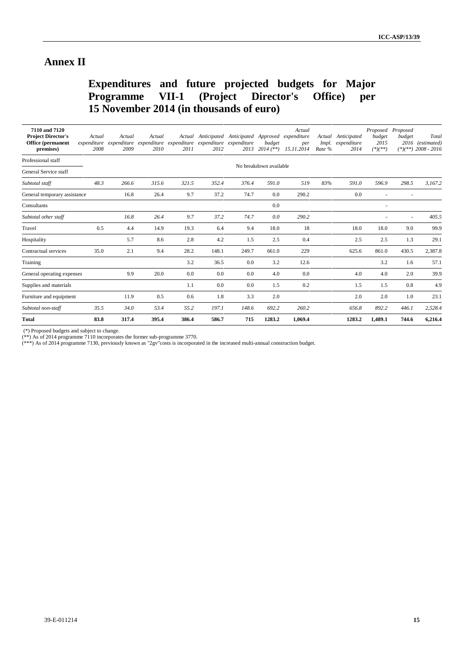### **Annex II**

# **Expenditures and future projected budgets for Major Programme VII-1 (Project Director's Office) per 15 November 2014 (in thousands of euro)**

| 7110 and 7120<br><b>Project Director's</b><br><b>Office</b> (permanent<br>premises) | Actual<br>expenditure<br>2008 | Actual<br>2009 | Actual<br>2010 | 2011  | Actual Anticipated Anticipated Approved<br>expenditure expenditure expenditure expenditure expenditure<br>2012 |       | budget<br>2013 2014 (**) | Actual<br>expenditure<br>per<br>15.11.2014 | Actual<br>Rate % | Anticipated<br>Impl. expenditure<br>2014 | budget<br>2015<br>$(*)(**)$ | Proposed Proposed<br>budget | Total<br>2016 (estimated)<br>$(*)(**)$ 2008 - 2016 |
|-------------------------------------------------------------------------------------|-------------------------------|----------------|----------------|-------|----------------------------------------------------------------------------------------------------------------|-------|--------------------------|--------------------------------------------|------------------|------------------------------------------|-----------------------------|-----------------------------|----------------------------------------------------|
| Professional staff                                                                  |                               |                |                |       |                                                                                                                |       | No breakdown available   |                                            |                  |                                          |                             |                             |                                                    |
| General Service staff                                                               |                               |                |                |       |                                                                                                                |       |                          |                                            |                  |                                          |                             |                             |                                                    |
| Subtotal staff                                                                      | 48.3                          | 266.6          | 315.6          | 321.5 | 352.4                                                                                                          | 376.4 | 591.0                    | 519                                        | 83%              | 591.0                                    | 596.9                       | 298.5                       | 3.167.2                                            |
| General temporary assistance                                                        |                               | 16.8           | 26.4           | 9.7   | 37.2                                                                                                           | 74.7  | 0.0                      | 290.2                                      |                  | 0.0                                      |                             |                             |                                                    |
| Consultants                                                                         |                               |                |                |       |                                                                                                                |       | 0.0                      |                                            |                  |                                          | $\overline{\phantom{a}}$    |                             |                                                    |
| Subtotal other staff                                                                |                               | 16.8           | 26.4           | 9.7   | 37.2                                                                                                           | 74.7  | 0.0                      | 290.2                                      |                  |                                          | ٠                           | $\sim$                      | 405.5                                              |
| Travel                                                                              | 0.5                           | 4.4            | 14.9           | 19.3  | 6.4                                                                                                            | 9.4   | 18.0                     | 18                                         |                  | 18.0                                     | 18.0                        | 9.0                         | 99.9                                               |
| Hospitality                                                                         |                               | 5.7            | 8.6            | 2.8   | 4.2                                                                                                            | 1.5   | 2.5                      | 0.4                                        |                  | 2.5                                      | 2.5                         | 1.3                         | 29.1                                               |
| Contractual services                                                                | 35.0                          | 2.1            | 9.4            | 28.2  | 148.1                                                                                                          | 249.7 | 661.0                    | 229                                        |                  | 625.6                                    | 861.0                       | 430.5                       | 2,387.8                                            |
| Training                                                                            |                               |                |                | 3.2   | 36.5                                                                                                           | 0.0   | 3.2                      | 12.6                                       |                  |                                          | 3.2                         | 1.6                         | 57.1                                               |
| General operating expenses                                                          |                               | 9.9            | 20.0           | 0.0   | 0.0                                                                                                            | 0.0   | 4.0                      | 0.0                                        |                  | 4.0                                      | 4.0                         | 2.0                         | 39.9                                               |
| Supplies and materials                                                              |                               |                |                | 1.1   | 0.0                                                                                                            | 0.0   | 1.5                      | 0.2                                        |                  | 1.5                                      | 1.5                         | 0.8                         | 4.9                                                |
| Furniture and equipment                                                             |                               | 11.9           | 0.5            | 0.6   | 1.8                                                                                                            | 3.3   | 2.0                      |                                            |                  | 2.0                                      | 2.0                         | 1.0                         | 23.1                                               |
| Subtotal non-staff                                                                  | 35.5                          | 34.0           | 53.4           | 55.2  | 197.1                                                                                                          | 148.6 | 692.2                    | 260.2                                      |                  | 656.8                                    | 892.2                       | 446.1                       | 2,528.4                                            |
| <b>Total</b>                                                                        | 83.8                          | 317.4          | 395.4          | 386.4 | 586.7                                                                                                          | 715   | 1283.2                   | 1,069.4                                    |                  | 1283.2                                   | 1,489.1                     | 744.6                       | 6,216.4                                            |

(\*) Proposed budgets and subject to change.

(\*\*) As of 2014 programme 7110 incorporates the former sub-programme 3770.

(\*\*\*) As of 2014 programme 7130, previously known as "2gv"costs is incorporated in the increased multi-annual construction budget.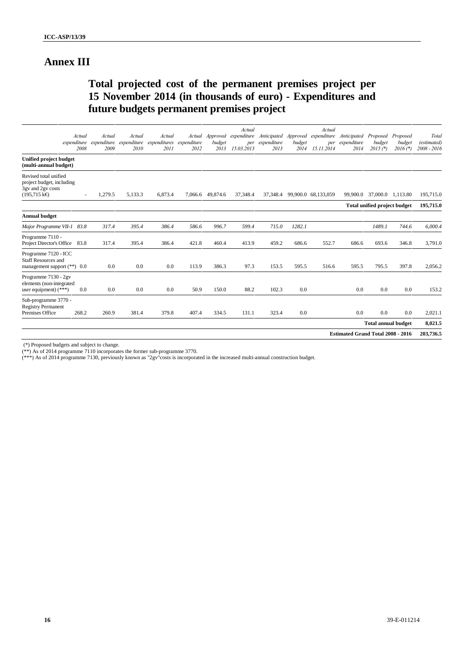## **Annex III**

## **Total projected cost of the permanent premises project per 15 November 2014 (in thousands of euro) - Expenditures and future budgets permanent premises project**

|        |                                                                                                                          |                 |                                            |                                |                | Actual                                 |                      |                | Actual             |                                             |                                       |                      | Total                                                                                                                                 |
|--------|--------------------------------------------------------------------------------------------------------------------------|-----------------|--------------------------------------------|--------------------------------|----------------|----------------------------------------|----------------------|----------------|--------------------|---------------------------------------------|---------------------------------------|----------------------|---------------------------------------------------------------------------------------------------------------------------------------|
|        | 2009                                                                                                                     | 2010            | expenditures<br>2011                       | expenditure<br>2012            | budget<br>2013 | per<br>15.03.2013                      | expenditure<br>2013  | budget<br>2014 | 15.11.2014         | 2014                                        | budget<br>$2015$ $(*)$                | budget<br>$2016$ (*) | (estimated)<br>2008 - 2016                                                                                                            |
|        |                                                                                                                          |                 |                                            |                                |                |                                        |                      |                |                    |                                             |                                       |                      |                                                                                                                                       |
| $\sim$ | 1,279.5                                                                                                                  | 5.133.3         | 6.873.4                                    |                                | 49,874.6       | 37,348.4                               | 37,348.4             |                |                    | 99,900.0                                    | 37,000.0                              | 1.113.80             | 195,715.0                                                                                                                             |
|        |                                                                                                                          |                 |                                            |                                |                |                                        |                      |                |                    |                                             |                                       |                      | 195,715.0                                                                                                                             |
|        |                                                                                                                          |                 |                                            |                                |                |                                        |                      |                |                    |                                             |                                       |                      |                                                                                                                                       |
|        | 317.4                                                                                                                    | 395.4           | 386.4                                      | 586.6                          | 996.7          | 599.4                                  | 715.0                | 1282.1         |                    |                                             | 1489.1                                | 744.6                | 6,000.4                                                                                                                               |
|        | 317.4                                                                                                                    | 395.4           | 386.4                                      | 421.8                          | 460.4          | 413.9                                  | 459.2                | 686.6          | 552.7              | 686.6                                       | 693.6                                 | 346.8                | 3,791.0                                                                                                                               |
|        | 0.0                                                                                                                      | 0.0             | 0.0                                        | 113.9                          | 386.3          | 97.3                                   | 153.5                | 595.5          | 516.6              | 595.5                                       | 795.5                                 | 397.8                | 2,056.2                                                                                                                               |
| 0.0    | 0.0                                                                                                                      | 0.0             | 0.0                                        | 50.9                           | 150.0          | 88.2                                   | 102.3                | 0.0            |                    | 0.0                                         | 0.0                                   | 0.0                  | 153.2                                                                                                                                 |
|        |                                                                                                                          |                 |                                            |                                |                |                                        |                      |                |                    |                                             |                                       |                      | 2,021.1                                                                                                                               |
|        |                                                                                                                          |                 |                                            |                                |                |                                        |                      |                |                    |                                             |                                       |                      | 8,021.5                                                                                                                               |
|        |                                                                                                                          |                 |                                            |                                |                |                                        |                      |                |                    |                                             |                                       |                      | 203,736.5                                                                                                                             |
|        | Actual<br>2008<br>Major Programme VII-1 83.8<br>Project Director's Office 83.8<br>management support $(**)$ 0.0<br>268.2 | Actual<br>260.9 | Actual<br>expenditure expenditure<br>381.4 | Actual<br>expenditure<br>379.8 | 407.4          | Approved<br>Actual<br>7.066.6<br>334.5 | expenditure<br>131.1 | 323.4          | Anticipated<br>0.0 | Approved expenditure<br>99,900.0 68,133,059 | Anticipated<br>per expenditure<br>0.0 | 0.0                  | Proposed<br>Proposed<br>Total unified project budget<br>0.0<br><b>Total annual budget</b><br><b>Estimated Grand Total 2008 - 2016</b> |

(\*) Proposed budgets and subject to change.

(\*\*) As of 2014 programme 7110 incorporates the former sub-programme 3770.

(\*\*\*) As of 2014 programme 7130, previously known as "2gv"costs is incorporated in the increased multi-annual construction budget.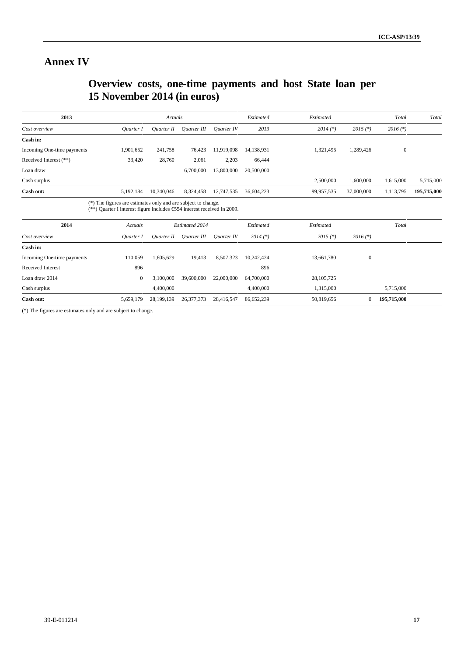## **Annex IV**

# **Overview costs, one-time payments and host State loan per 15 November 2014 (in euros)**

| 2013                       |           | Actuals    |             |            | Estimated  | Estimated  |            | Total        | Total       |
|----------------------------|-----------|------------|-------------|------------|------------|------------|------------|--------------|-------------|
| Cost overview              | Ouarter I | Ouarter II | Ouarter III | Ouarter IV | 2013       | $2014$ (*) | $2015$ (*) | $2016$ (*)   |             |
| Cash in:                   |           |            |             |            |            |            |            |              |             |
| Incoming One-time payments | 1,901,652 | 241,758    | 76,423      | 11.919.098 | 14.138.931 | 1.321.495  | 1,289,426  | $\mathbf{0}$ |             |
| Received Interest (**)     | 33,420    | 28,760     | 2,061       | 2,203      | 66,444     |            |            |              |             |
| Loan draw                  |           |            | 6,700,000   | 13,800,000 | 20,500,000 |            |            |              |             |
| Cash surplus               |           |            |             |            |            | 2,500,000  | 1,600,000  | 1,615,000    | 5,715,000   |
| Cash out:                  | 5,192,184 | 10,340,046 | 8,324,458   | 12,747,535 | 36,604,223 | 99,957,535 | 37,000,000 | 1,113,795    | 195,715,000 |

| 2014                       | Actuals      |            | <b>Estimated 2014</b> |            | Estimated  | Estimated    |              | Total       |
|----------------------------|--------------|------------|-----------------------|------------|------------|--------------|--------------|-------------|
| Cost overview              | Ouarter I    | Ouarter II | Ouarter III           | Ouarter IV | $2014$ (*) | $2015$ (*)   | $2016$ (*)   |             |
| Cash in:                   |              |            |                       |            |            |              |              |             |
| Incoming One-time payments | 110.059      | 1,605,629  | 19,413                | 8,507,323  | 10,242,424 | 13,661,780   | $\mathbf{0}$ |             |
| Received Interest          | 896          |            |                       |            | 896        |              |              |             |
| Loan draw 2014             | $\mathbf{0}$ | 3,100,000  | 39,600,000            | 22,000,000 | 64,700,000 | 28, 105, 725 |              |             |
| Cash surplus               |              | 4,400,000  |                       |            | 4,400,000  | 1,315,000    |              | 5,715,000   |
| Cash out:                  | 5,659,179    | 28,199,139 | 26, 377, 373          | 28,416,547 | 86,652,239 | 50,819,656   |              | 195,715,000 |

(\*) The figures are estimates only and are subject to change.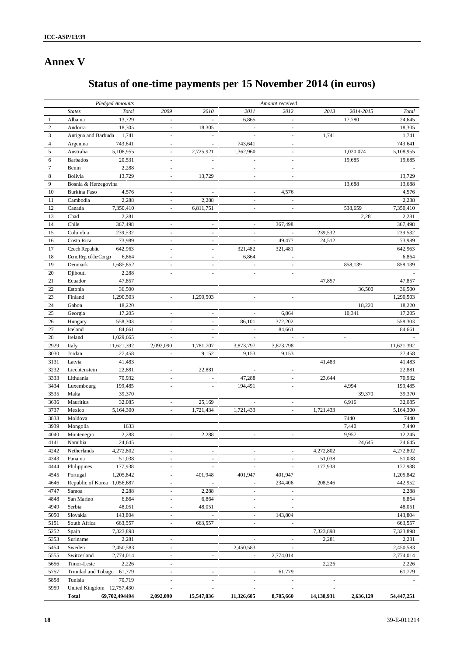# **Annex V**

# **Status of one-time payments per 15 November 2014 (in euros)**

|                  |                             | <b>Pledged Amounts</b> |                          |                          |                          | Amount received          |                          |           |                  |
|------------------|-----------------------------|------------------------|--------------------------|--------------------------|--------------------------|--------------------------|--------------------------|-----------|------------------|
|                  | <b>States</b>               | Total                  | 2009                     | 2010                     | 2011                     | 2012                     | 2013                     | 2014-2015 | Total            |
| 1                | Albania                     | 13,729                 | $\overline{\phantom{a}}$ | ÷                        | 6,865                    | $\overline{\phantom{a}}$ |                          | 17,780    | 24,645           |
| $\mathfrak{2}$   | Andorra                     | 18,305                 |                          | 18,305                   |                          |                          |                          |           | 18,305           |
| 3                | Antigua and Barbuda         | 1,741                  | $\overline{\phantom{a}}$ | $\overline{\phantom{a}}$ | $\omega$                 | $\omega$                 | 1,741                    |           | 1,741            |
| 4                | Argenina                    | 743,641                | $\overline{\phantom{a}}$ | $\overline{\phantom{a}}$ | 743,641                  | $\overline{\phantom{a}}$ |                          |           | 743,641          |
| $\sqrt{5}$       | Australia                   | 5,108,955              | $\sim$                   | 2,725,921                | 1,362,960                | $\sim$                   |                          | 1,020,074 | 5,108,955        |
| 6                | <b>Barbados</b>             | 20,531                 | $\sim$                   | $\sim$                   |                          | $\sim$                   |                          | 19,685    | 19,685           |
| $\boldsymbol{7}$ | Benin                       | 2,288                  | $\overline{\phantom{a}}$ | $\blacksquare$           | $\overline{\phantom{a}}$ | $\overline{\phantom{a}}$ |                          |           |                  |
| 8                | Bolivia                     | 13,729                 | $\overline{\phantom{a}}$ | 13,729                   | $\blacksquare$           | $\overline{\phantom{a}}$ |                          |           | 13,729           |
| 9                | Bosnia & Herzegovina        |                        |                          |                          |                          |                          |                          | 13,688    | 13,688           |
| 10               | <b>Burkina Faso</b>         | 4,576                  | $\overline{\phantom{a}}$ | ä,                       | $\overline{\phantom{a}}$ | 4,576                    |                          |           | 4,576            |
| 11               | Cambodia                    | 2,288                  | $\overline{\phantom{a}}$ | 2,288                    | $\overline{\phantom{a}}$ | $\overline{\phantom{a}}$ |                          |           | 2,288            |
| 12               | Canada                      | 7,350,410              | $\overline{\phantom{a}}$ | 6,811,751                | ÷,                       | $\overline{\phantom{a}}$ |                          | 538,659   | 7,350,410        |
| 13               | Chad                        | 2,281                  |                          |                          |                          |                          |                          | 2,281     | 2,281            |
| 14               | Chile                       | 367,498                | $\overline{\phantom{a}}$ | $\overline{\phantom{a}}$ | $\overline{\phantom{a}}$ | 367,498                  |                          |           | 367,498          |
| 15               | Columbia                    | 239,532                | $\overline{\phantom{a}}$ | $\overline{\phantom{a}}$ | $\overline{\phantom{a}}$ | $\overline{\phantom{a}}$ | 239,532                  |           | 239,532          |
| 16               | Costa Rica                  | 73,989                 | $\overline{\phantom{a}}$ | $\overline{\phantom{a}}$ | $\sim$                   | 49,477                   | 24,512                   |           | 73,989           |
| 17               | Czech Republic              | 642,963                | $\sim$                   | $\sim$                   | 321,482                  | 321,481                  |                          |           | 642,963          |
| 18               | Dem. Rep. of the Congo      | 6,864                  | $\overline{\phantom{a}}$ | $\overline{\phantom{a}}$ | 6,864                    | $\overline{\phantom{a}}$ |                          |           | 6,864            |
| 19               | Denmark                     | 1,685,852              | $\sim$                   | ä,                       | $\bar{a}$                | $\overline{\phantom{a}}$ |                          | 858,139   | 858,139          |
| 20               | Djibouti                    | 2,288                  | $\sim$                   | ä,                       |                          |                          |                          |           |                  |
| 21               | Ecuador                     | 47,857                 |                          |                          |                          |                          | 47,857                   |           | 47,857           |
| 22               | Estonia                     | 36,500                 |                          |                          |                          |                          |                          | 36,500    | 36,500           |
| 23               | Finland                     | 1,290,503              | $\overline{\phantom{a}}$ | 1,290,503                | $\overline{\phantom{a}}$ | $\sim$                   |                          |           | 1,290,503        |
| 24               | Gabon                       | 18,220                 |                          |                          |                          |                          |                          | 18,220    | 18,220           |
| 25               | Georgia                     | 17,205                 | $\overline{\phantom{a}}$ | $\overline{\phantom{a}}$ | $\overline{\phantom{a}}$ | 6,864                    |                          | 10,341    | 17,205           |
| 26               | Hungary                     | 558,303                | $\overline{\phantom{a}}$ | ÷.                       | 186,101                  | 372,202                  |                          |           | 558,303          |
| 27               | Iceland                     | 84,661                 | $\omega$                 | $\sim$                   | $\sim$                   | 84,661                   |                          |           | 84,661           |
| 28               | Ireland                     | 1,029,665              | $\omega$                 | $\bar{\phantom{a}}$      | $\omega$                 | $\sim$                   | $\sim$                   | ÷.        |                  |
| 2929             | Italy                       | 11,621,392             | 2,092,090                | 1,781,707                | 3,873,797                | 3,873,798                |                          |           | 11,621,392       |
| 3030             |                             |                        | $\sim$                   |                          |                          |                          |                          |           |                  |
| 3131             | Jordan<br>Latvia            | 27,458<br>41,483       |                          | 9,152                    | 9,153                    | 9,153                    | 41,483                   |           | 27,458<br>41,483 |
|                  |                             |                        |                          |                          | ×.                       |                          |                          |           |                  |
| 3232             | Liechtenstein               | 22,881                 | $\omega$                 | 22,881                   |                          | $\overline{\phantom{a}}$ |                          |           | 22,881           |
| 3333             | Lithuania                   | 70,932                 | $\overline{\phantom{a}}$ | $\blacksquare$           | 47,288                   | $\overline{\phantom{a}}$ | 23,644                   |           | 70,932           |
| 3434             | Luxembourg                  | 199,485                | $\overline{\phantom{a}}$ | $\sim$                   | 194,491                  | $\overline{\phantom{a}}$ |                          | 4,994     | 199,485          |
| 3535             | Malta                       | 39,370                 |                          |                          |                          |                          |                          | 39,370    | 39,370           |
| 3636             | Mauritius                   | 32,085                 | $\overline{\phantom{a}}$ | 25,169                   | $\overline{\phantom{a}}$ | $\overline{\phantom{a}}$ |                          | 6,916     | 32,085           |
| 3737             | Mexico                      | 5,164,300              | $\overline{\phantom{a}}$ | 1,721,434                | 1,721,433                | $\overline{\phantom{a}}$ | 1,721,433                |           | 5,164,300        |
| 3838             | Moldova                     |                        |                          |                          |                          |                          |                          | 7440      | 7440             |
| 3939             | Mongolia                    | 1633                   |                          |                          |                          |                          |                          | 7,440     | 7,440            |
| 4040             | Montenegro                  | 2,288                  | $\overline{\phantom{a}}$ | 2,288                    | $\overline{\phantom{a}}$ | $\overline{\phantom{a}}$ |                          | 9,957     | 12,245           |
| 4141             | Namibia                     | 24,645                 |                          |                          |                          |                          |                          | 24,645    | 24,645           |
| 4242             | Netherlands                 | 4,272,802              |                          |                          |                          |                          | 4,272,802                |           | 4,272,802        |
| 4343             | Panama                      | 51,038                 | $\overline{\phantom{a}}$ | $\overline{\phantom{a}}$ | $\overline{\phantom{a}}$ | $\overline{\phantom{a}}$ | 51,038                   |           | 51,038           |
| 4444             | Philippines                 | 177,938                | $\overline{\phantom{a}}$ | $\overline{\phantom{a}}$ |                          |                          | 177,938                  |           | 177,938          |
| 4545             | Portugal                    | 1,205,842              | $\overline{\phantom{a}}$ | 401,948                  | 401,947                  | 401,947                  |                          |           | 1,205,842        |
| 4646             | Republic of Korea 1,056,687 |                        | $\overline{\phantom{a}}$ | $\sim$                   | $\overline{\phantom{a}}$ | 234,406                  | 208,546                  |           | 442,952          |
| 4747             | Samoa                       | 2,288                  | $\overline{\phantom{a}}$ | 2,288                    | $\overline{\phantom{a}}$ | $\overline{\phantom{a}}$ |                          |           | 2,288            |
| 4848             | San Marino                  | 6,864                  | $\overline{\phantom{a}}$ | 6,864                    | $\overline{\phantom{a}}$ |                          |                          |           | 6,864            |
| 4949             | Serbia                      | 48,051                 | $\overline{\phantom{a}}$ | 48,051                   | $\sim$                   |                          |                          |           | 48,051           |
| 5050             | Slovakia                    | 143,804                | $\overline{\phantom{a}}$ | $\sim$                   | $\overline{\phantom{a}}$ | 143,804                  |                          |           | 143,804          |
| 5151             | South Africa                | 663,557                | $\overline{\phantom{a}}$ | 663,557                  | $\overline{\phantom{a}}$ | $\overline{\phantom{a}}$ |                          |           | 663,557          |
| 5252             | Spain                       | 7,323,898              |                          |                          |                          |                          | 7,323,898                |           | 7,323,898        |
| 5353             | Suriname                    | 2,281                  |                          |                          |                          |                          | 2,281                    |           | 2,281            |
| 5454             | Sweden                      | 2,450,583              | $\overline{\phantom{a}}$ |                          | 2,450,583                | $\overline{\phantom{a}}$ |                          |           | 2,450,583        |
| 5555             | Switzerland                 | 2,774,014              | $\overline{\phantom{a}}$ | $\blacksquare$           | $\overline{\phantom{a}}$ | 2,774,014                |                          |           | 2,774,014        |
| 5656             | Timor-Leste                 | 2,226                  | $\sim$                   |                          |                          |                          | 2,226                    |           | 2,226            |
| 5757             | Trinidad and Tobago 61,779  |                        | $\omega$                 | ä,                       | $\sim$                   | 61,779                   |                          |           | 61,779           |
| 5858             | Tunisia                     | 70,719                 | $\overline{\phantom{a}}$ | $\bar{a}$                | $\overline{\phantom{a}}$ | $\omega$                 | $\overline{\phantom{a}}$ |           |                  |
| 5959             | United Kingdom 12,757,430   |                        | $\overline{\phantom{a}}$ | $\sim$                   | $\overline{\phantom{a}}$ | $\overline{\phantom{a}}$ | $\overline{\phantom{a}}$ |           |                  |
|                  | <b>Total</b>                | 69,702,494494          | 2,092,090                | 15,547,836               | 11,326,605               | 8,705,660                | 14,138,931               | 2,636,129 | 54,447,251       |
|                  |                             |                        |                          |                          |                          |                          |                          |           |                  |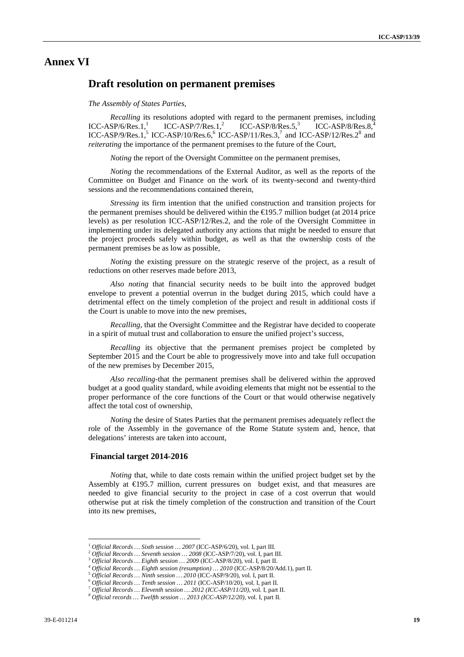### **Annex VI**

### **Draft resolution on permanent premises**

*The Assembly of States Parties,*

*Recalling* its resolutions adopted with regard to the permanent premises, including ICC-ASP/6/Res.1,<sup>1</sup> ICC-ASP/7/Res.1,<sup>2</sup> ICC-ASP/8/Res.5,<sup>3</sup> ICC-ASP/8/Res.8,<sup>4</sup>  $\text{ICC-ASP/7/Res.1}^2$   $\text{ICC-ASP/8/Res.5}^3$   $\text{ICC-ASP/8/Res.8}^3$ ICC-ASP/9/Res.1,<sup>5</sup> ICC-ASP/10/Res.6,<sup>6</sup> ICC-ASP/11/Res.3,<sup>7</sup> and ICC-ASP/12/Res.2<sup>8</sup> and *reiterating* the importance of the permanent premises to the future of the Court,

*Noting* the report of the Oversight Committee on the permanent premises,

*Noting* the recommendations of the External Auditor, as well as the reports of the Committee on Budget and Finance on the work of its twenty-second and twenty-third sessions and the recommendations contained therein,

*Stressing* its firm intention that the unified construction and transition projects for the permanent premises should be delivered within the  $\bigoplus$  95.7 million budget (at 2014 price levels) as per resolution ICC-ASP/12/Res.2, and the role of the Oversight Committee in implementing under its delegated authority any actions that might be needed to ensure that the project proceeds safely within budget, as well as that the ownership costs of the permanent premises be as low as possible,

*Noting* the existing pressure on the strategic reserve of the project, as a result of reductions on other reserves made before 2013,

*Also noting* that financial security needs to be built into the approved budget envelope to prevent a potential overrun in the budget during 2015, which could have a detrimental effect on the timely completion of the project and result in additional costs if the Court is unable to move into the new premises,

*Recalling,* that the Oversight Committee and the Registrar have decided to cooperate in a spirit of mutual trust and collaboration to ensure the unified project's success,

*Recalling* its objective that the permanent premises project be completed by September 2015 and the Court be able to progressively move into and take full occupation of the new premises by December 2015,

*Also recalling-*that the permanent premises shall be delivered within the approved budget at a good quality standard, while avoiding elements that might not be essential to the proper performance of the core functions of the Court or that would otherwise negatively affect the total cost of ownership,

*Noting* the desire of States Parties that the permanent premises adequately reflect the role of the Assembly in the governance of the Rome Statute system and, hence, that delegations' interests are taken into account,

### **Financial target 2014-2016**

*Noting* that, while to date costs remain within the unified project budget set by the Assembly at  $\epsilon$ 195.7 million, current pressures on budget exist, and that measures are needed to give financial security to the project in case of a cost overrun that would otherwise put at risk the timely completion of the construction and transition of the Court into its new premises,

<sup>&</sup>lt;sup>1</sup> Official Records ... Sixth session ... 2007 (ICC-ASP/6/20), vol. I, part III.<br><sup>2</sup> Official Records ... Seventh session ... 2008 (ICC-ASP/7/20), vol. I, part III.<br><sup>3</sup> Official Records ... Eighth session ... 2009 (ICC-A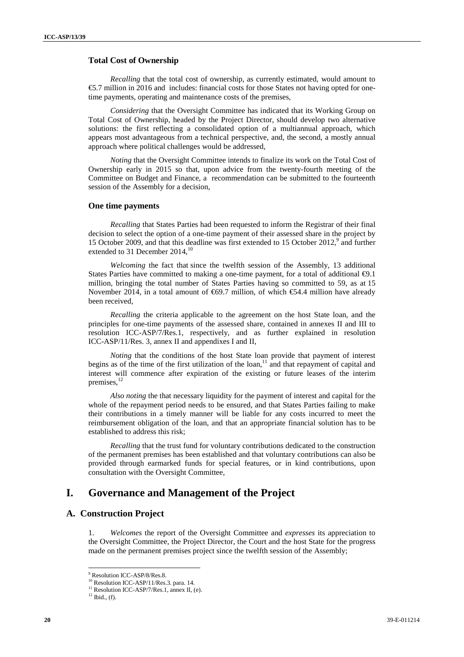### **Total Cost of Ownership**

*Recalling* that the total cost of ownership, as currently estimated, would amount to €5.7 million in 2016 and includes: financial costs for those States not having opted for onetime payments, operating and maintenance costs of the premises,

*Considering* that the Oversight Committee has indicated that its Working Group on Total Cost of Ownership, headed by the Project Director, should develop two alternative solutions: the first reflecting a consolidated option of a multiannual approach, which appears most advantageous from a technical perspective, and, the second, a mostly annual approach where political challenges would be addressed,

*Noting* that the Oversight Committee intends to finalize its work on the Total Cost of Ownership early in 2015 so that, upon advice from the twenty-fourth meeting of the Committee on Budget and Finance, a recommendation can be submitted to the fourteenth session of the Assembly for a decision,

#### **One time payments**

*Recalling* that States Parties had been requested to inform the Registrar of their final decision to select the option of a one-time payment of their assessed share in the project by 15 October 2009, and that this deadline was first extended to 15 October 2012,<sup>9</sup> and further extended to 31 December 2014,<sup>10</sup>

*Welcoming* the fact that since the twelfth session of the Assembly, 13 additional States Parties have committed to making a one-time payment, for a total of additional  $\Theta$ .1 million, bringing the total number of States Parties having so committed to 59, as at 15 November 2014, in a total amount of  $669.7$  million, of which  $654.4$  million have already been received,

*Recalling* the criteria applicable to the agreement on the host State loan, and the principles for one-time payments of the assessed share, contained in annexes II and III to resolution ICC-ASP/7/Res.1, respectively, and as further explained in resolution ICC-ASP/11/Res. 3, annex II and appendixes I and II,

*Noting* that the conditions of the host State loan provide that payment of interest begins as of the time of the first utilization of the loan,<sup>11</sup> and that repayment of capital and interest will commence after expiration of the existing or future leases of the interim premises,<sup>12</sup>

*Also noting* the that necessary liquidity for the payment of interest and capital for the whole of the repayment period needs to be ensured, and that States Parties failing to make their contributions in a timely manner will be liable for any costs incurred to meet the reimbursement obligation of the loan, and that an appropriate financial solution has to be established to address this risk;

*Recalling* that the trust fund for voluntary contributions dedicated to the construction of the permanent premises has been established and that voluntary contributions can also be provided through earmarked funds for special features, or in kind contributions, upon consultation with the Oversight Committee,

### **I. Governance and Management of the Project**

### **A. Construction Project**

1. *Welcomes* the report of the Oversight Committee and *expresses* its appreciation to the Oversight Committee, the Project Director, the Court and the host State for the progress made on the permanent premises project since the twelfth session of the Assembly;

<sup>&</sup>lt;sup>9</sup> Resolution ICC-ASP/8/Res.8.<br><sup>10</sup> Resolution ICC-ASP/11/Res.3. para. 14.

 $11$  Resolution ICC-ASP/7/Res.1, annex II, (e).

 $12$  Ibid., (f).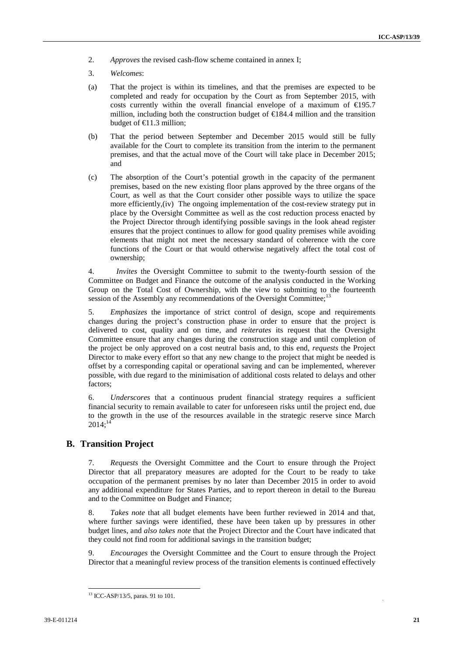- 2. *Approves* the revised cash-flow scheme contained in annex I;
- 3. *Welcomes*:
- (a) That the project is within its timelines, and that the premises are expected to be completed and ready for occupation by the Court as from September 2015, with costs currently within the overall financial envelope of a maximum of  $\epsilon$ 195.7 million, including both the construction budget of  $\in$ 184.4 million and the transition budget of  $\bigoplus$  1.3 million;
- (b) That the period between September and December 2015 would still be fully available for the Court to complete its transition from the interim to the permanent premises, and that the actual move of the Court will take place in December 2015; and
- (c) The absorption of the Court's potential growth in the capacity of the permanent premises, based on the new existing floor plans approved by the three organs of the Court, as well as that the Court consider other possible ways to utilize the space more efficiently,(iv) The ongoing implementation of the cost-review strategy put in place by the Oversight Committee as well as the cost reduction process enacted by the Project Director through identifying possible savings in the look ahead register ensures that the project continues to allow for good quality premises while avoiding elements that might not meet the necessary standard of coherence with the core functions of the Court or that would otherwise negatively affect the total cost of ownership;

4. *Invites* the Oversight Committee to submit to the twenty-fourth session of the Committee on Budget and Finance the outcome of the analysis conducted in the Working Group on the Total Cost of Ownership, with the view to submitting to the fourteenth session of the Assembly any recommendations of the Oversight Committee; $^{13}$ 

5. *Emphasizes* the importance of strict control of design, scope and requirements changes during the project's construction phase in order to ensure that the project is delivered to cost, quality and on time, and *reiterates* its request that the Oversight Committee ensure that any changes during the construction stage and until completion of the project be only approved on a cost neutral basis and, to this end, *requests* the Project Director to make every effort so that any new change to the project that might be needed is offset by a corresponding capital or operational saving and can be implemented, wherever possible, with due regard to the minimisation of additional costs related to delays and other factors;

6. *Underscores* that a continuous prudent financial strategy requires a sufficient financial security to remain available to cater for unforeseen risks until the project end, due to the growth in the use of the resources available in the strategic reserve since March  $2014$ ;<sup>14</sup>

### **B. Transition Project**

7. *Requests* the Oversight Committee and the Court to ensure through the Project Director that all preparatory measures are adopted for the Court to be ready to take occupation of the permanent premises by no later than December 2015 in order to avoid any additional expenditure for States Parties, and to report thereon in detail to the Bureau and to the Committee on Budget and Finance;

8. *Takes note* that all budget elements have been further reviewed in 2014 and that, where further savings were identified, these have been taken up by pressures in other budget lines, and *also takes note* that the Project Director and the Court have indicated that they could not find room for additional savings in the transition budget;

9. *Encourages* the Oversight Committee and the Court to ensure through the Project Director that a meaningful review process of the transition elements is continued effectively

<sup>13</sup> ICC-ASP/13/5, paras. 91 to 101.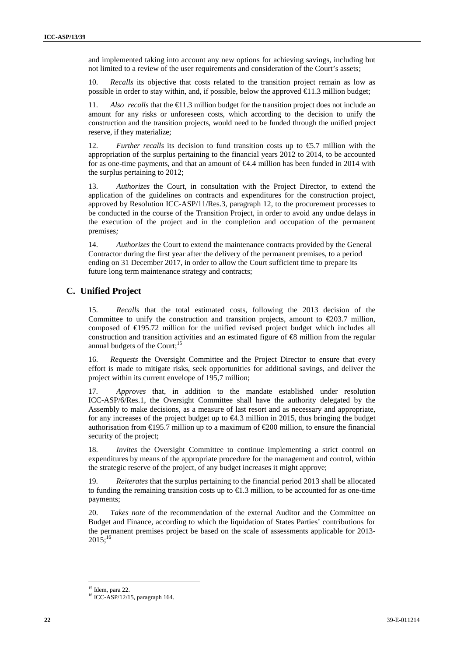and implemented taking into account any new options for achieving savings, including but not limited to a review of the user requirements and consideration of the Court's assets;

10. *Recalls* its objective that costs related to the transition project remain as low as possible in order to stay within, and, if possible, below the approved  $\bigoplus$  1.3 million budget;

11. *Also recalls* that the  $\bigoplus$  1.3 million budget for the transition project does not include an amount for any risks or unforeseen costs, which according to the decision to unify the construction and the transition projects, would need to be funded through the unified project reserve, if they materialize;

12. *Further recalls* its decision to fund transition costs up to €5.7 million with the appropriation of the surplus pertaining to the financial years 2012 to 2014, to be accounted for as one-time payments, and that an amount of €4.4 million has been funded in 2014 with the surplus pertaining to 2012;

13. *Authorizes* the Court, in consultation with the Project Director, to extend the application of the guidelines on contracts and expenditures for the construction project, approved by Resolution ICC-ASP/11/Res.3, paragraph 12, to the procurement processes to be conducted in the course of the Transition Project, in order to avoid any undue delays in the execution of the project and in the completion and occupation of the permanent premises*;*

14. *Authorizes* the Court to extend the maintenance contracts provided by the General Contractor during the first year after the delivery of the permanent premises, to a period ending on 31 December 2017, in order to allow the Court sufficient time to prepare its future long term maintenance strategy and contracts;

### **C. Unified Project**

15. *Recalls* that the total estimated costs, following the 2013 decision of the Committee to unify the construction and transition projects, amount to  $\epsilon$ 203.7 million, composed of €195.72 million for the unified revised project budget which includes all construction and transition activities and an estimated figure of  $\otimes$  million from the regular annual budgets of the Court:<sup>15</sup>

16. *Requests* the Oversight Committee and the Project Director to ensure that every effort is made to mitigate risks, seek opportunities for additional savings, and deliver the project within its current envelope of 195,7 million;

17. *Approves* that, in addition to the mandate established under resolution ICC-ASP/6/Res.1, the Oversight Committee shall have the authority delegated by the Assembly to make decisions, as a measure of last resort and as necessary and appropriate, for any increases of the project budget up to  $\epsilon 4.3$  million in 2015, thus bringing the budget authorisation from €195.7 million up to a maximum of €200 million, to ensure the financial security of the project;

18. *Invites* the Oversight Committee to continue implementing a strict control on expenditures by means of the appropriate procedure for the management and control, within the strategic reserve of the project, of any budget increases it might approve;

19. *Reiterates* that the surplus pertaining to the financial period 2013 shall be allocated to funding the remaining transition costs up to  $\bigoplus$ .3 million, to be accounted for as one-time payments;

20. *Takes note* of the recommendation of the external Auditor and the Committee on Budget and Finance, according to which the liquidation of States Parties' contributions for the permanent premises project be based on the scale of assessments applicable for 2013-  $2015$ ;<sup>16</sup>

<sup>&</sup>lt;sup>15</sup> Idem, para 22.

<sup>16</sup> ICC-ASP/12/15, paragraph 164.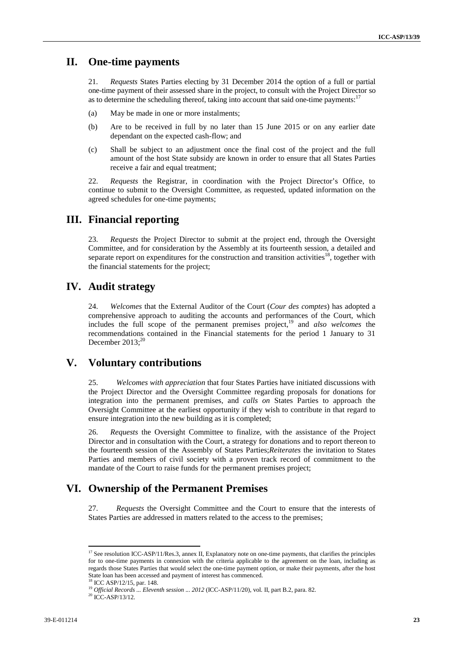### **II. One-time payments**

21. *Requests* States Parties electing by 31 December 2014 the option of a full or partial one-time payment of their assessed share in the project, to consult with the Project Director so as to determine the scheduling thereof, taking into account that said one-time payments: $17$ 

- (a) May be made in one or more instalments;
- (b) Are to be received in full by no later than 15 June 2015 or on any earlier date dependant on the expected cash-flow; and
- (c) Shall be subject to an adjustment once the final cost of the project and the full amount of the host State subsidy are known in order to ensure that all States Parties receive a fair and equal treatment;

22. *Requests* the Registrar, in coordination with the Project Director's Office, to continue to submit to the Oversight Committee, as requested, updated information on the agreed schedules for one-time payments;

### **III. Financial reporting**

23. *Requests* the Project Director to submit at the project end, through the Oversight Committee, and for consideration by the Assembly at its fourteenth session, a detailed and separate report on expenditures for the construction and transition activities<sup>18</sup>, together with the financial statements for the project;

### **IV. Audit strategy**

24. *Welcomes* that the External Auditor of the Court (*Cour des comptes*) has adopted a comprehensive approach to auditing the accounts and performances of the Court, which includes the full scope of the permanent premises project,<sup>19</sup> and *also welcomes* the recommendations contained in the Financial statements for the period 1 January to 31 December  $2013$ ;<sup>20</sup>

### **V. Voluntary contributions**

25. *Welcomes with appreciation* that four States Parties have initiated discussions with the Project Director and the Oversight Committee regarding proposals for donations for integration into the permanent premises, and *calls on* States Parties to approach the Oversight Committee at the earliest opportunity if they wish to contribute in that regard to ensure integration into the new building as it is completed;

26. *Requests* the Oversight Committee to finalize, with the assistance of the Project Director and in consultation with the Court, a strategy for donations and to report thereon to the fourteenth session of the Assembly of States Parties;*Reiterates* the invitation to States Parties and members of civil society with a proven track record of commitment to the mandate of the Court to raise funds for the permanent premises project;

### **VI. Ownership of the Permanent Premises**

27. *Requests* the Oversight Committee and the Court to ensure that the interests of States Parties are addressed in matters related to the access to the premises;

<sup>&</sup>lt;sup>17</sup> See resolution ICC-ASP/11/Res.3, annex II, Explanatory note on one-time payments, that clarifies the principles for to one-time payments in connexion with the criteria applicable to the agreement on the loan, including as regards those States Parties that would select the one-time payment option, or make their payments, after the host State loan has been accessed and payment of interest has commenced. <sup>18</sup> ICC ASP/12/15, par. 148.

<sup>&</sup>lt;sup>19</sup> Official Records ... Eleventh session ... 2012 (ICC-ASP/11/20), vol. II, part B.2, para. 82.

 $20$  ICC-ASP/13/12.